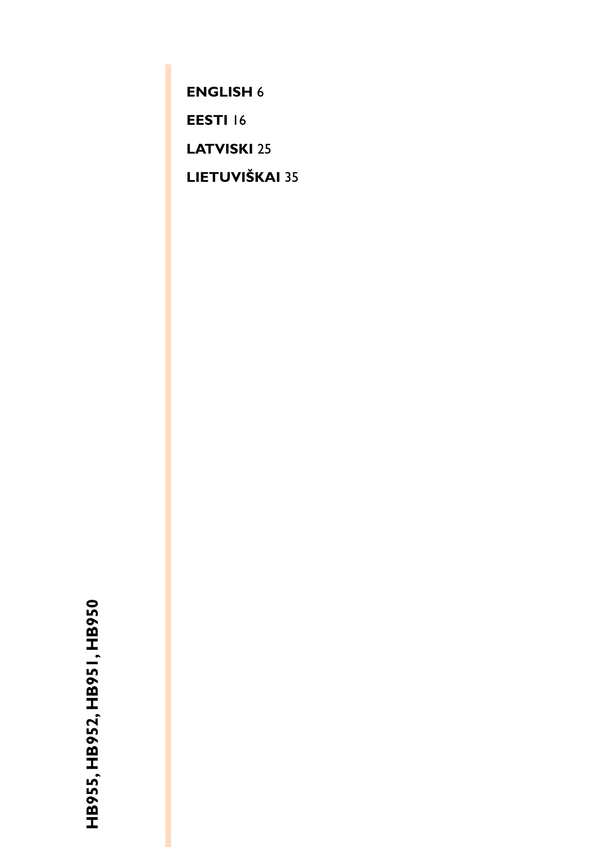**[ENGLISH](#page-1-0)** 6

**[EESTI](#page-11-0)** 16

**[LATVISKI](#page-20-0)** 25

**[LIETUVIŠKAI](#page-30-0)** 35

HB955, HB952, HB951, HB950 **HB955, HB952, HB951, HB950**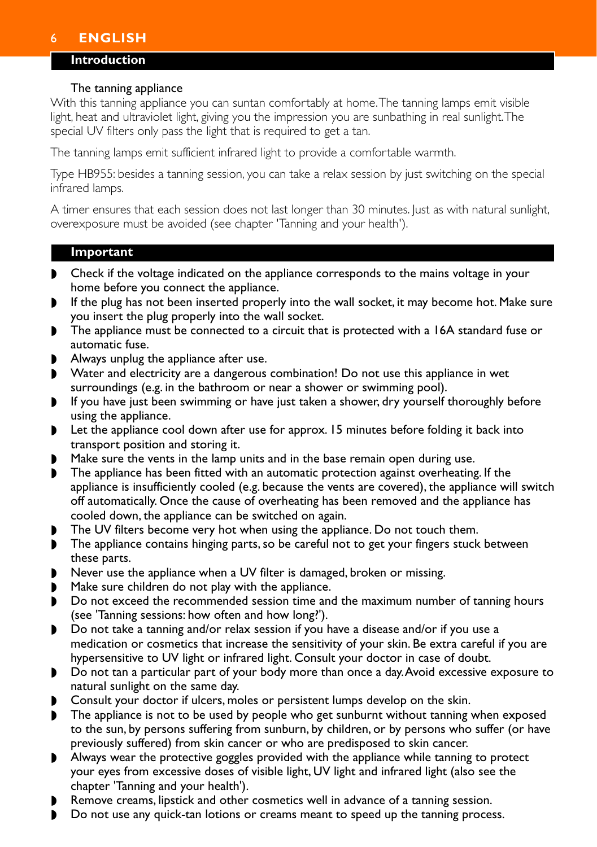# <span id="page-1-0"></span>6 **ENGLISH**

### **Introduction**

#### The tanning appliance

With this tanning appliance you can suntan comfortably at home.The tanning lamps emit visible light, heat and ultraviolet light, giving you the impression you are sunbathing in real sunlight.The special UV filters only pass the light that is required to get a tan.

The tanning lamps emit sufficient infrared light to provide a comfortable warmth.

Type HB955: besides a tanning session, you can take a relax session by just switching on the special infrared lamps.

A timer ensures that each session does not last longer than 30 minutes. Just as with natural sunlight, overexposure must be avoided (see chapter 'Tanning and your health').

#### **Important**

- ◗ Check if the voltage indicated on the appliance corresponds to the mains voltage in your home before you connect the appliance.
- If the plug has not been inserted properly into the wall socket, it may become hot. Make sure you insert the plug properly into the wall socket.
- The appliance must be connected to a circuit that is protected with a 16A standard fuse or automatic fuse.
- Always unplug the appliance after use.
- ◗ Water and electricity are a dangerous combination! Do not use this appliance in wet surroundings (e.g. in the bathroom or near a shower or swimming pool).
- ◗ If you have just been swimming or have just taken a shower, dry yourself thoroughly before using the appliance.
- ◗ Let the appliance cool down after use for approx. 15 minutes before folding it back into transport position and storing it.
- ◗ Make sure the vents in the lamp units and in the base remain open during use.
- ◗ The appliance has been fitted with an automatic protection against overheating. If the appliance is insufficiently cooled (e.g. because the vents are covered), the appliance will switch off automatically. Once the cause of overheating has been removed and the appliance has cooled down, the appliance can be switched on again.
- ◗ The UV filters become very hot when using the appliance. Do not touch them.
- ◗ The appliance contains hinging parts, so be careful not to get your fingers stuck between these parts.
- Never use the appliance when a UV filter is damaged, broken or missing.
- Make sure children do not play with the appliance.
- ◗ Do not exceed the recommended session time and the maximum number of tanning hours (see 'Tanning sessions: how often and how long?').
- ◗ Do not take a tanning and/or relax session if you have a disease and/or if you use a medication or cosmetics that increase the sensitivity of your skin. Be extra careful if you are hypersensitive to UV light or infrared light. Consult your doctor in case of doubt.
- ◗ Do not tan a particular part of your body more than once a day.Avoid excessive exposure to natural sunlight on the same day.
- ◗ Consult your doctor if ulcers, moles or persistent lumps develop on the skin.
- The appliance is not to be used by people who get sunburnt without tanning when exposed to the sun, by persons suffering from sunburn, by children, or by persons who suffer (or have previously suffered) from skin cancer or who are predisposed to skin cancer.
- ◗ Always wear the protective goggles provided with the appliance while tanning to protect your eyes from excessive doses of visible light, UV light and infrared light (also see the chapter 'Tanning and your health').
- ◗ Remove creams, lipstick and other cosmetics well in advance of a tanning session.
- ◗ Do not use any quick-tan lotions or creams meant to speed up the tanning process.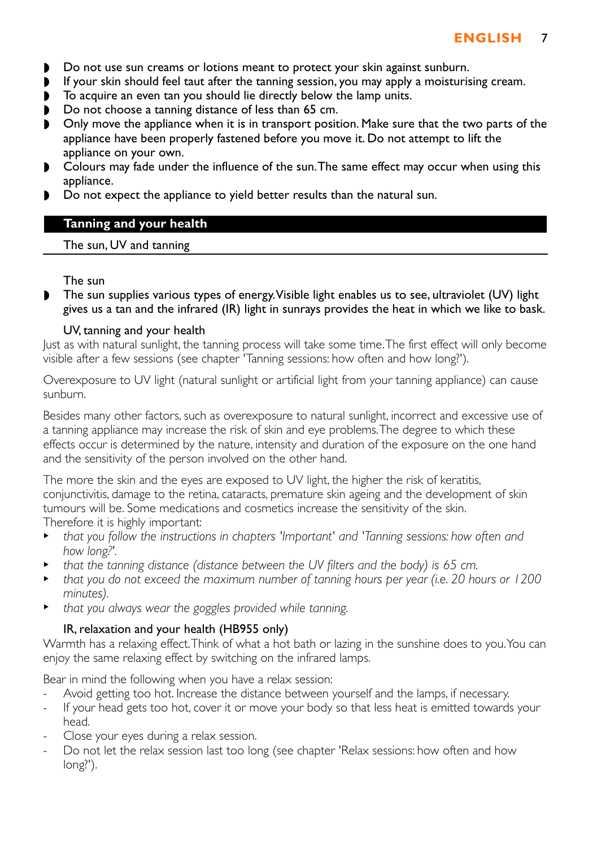- ◗ Do not use sun creams or lotions meant to protect your skin against sunburn.
- If your skin should feel taut after the tanning session, you may apply a moisturising cream.<br>■ To acquire an even tan you should lie directly below the lamp units.
- ◗ To acquire an even tan you should lie directly below the lamp units.
- ◗ Do not choose a tanning distance of less than 65 cm.
- ◗ Only move the appliance when it is in transport position. Make sure that the two parts of the appliance have been properly fastened before you move it. Do not attempt to lift the appliance on your own.
- ◗ Colours may fade under the influence of the sun.The same effect may occur when using this appliance.
- ◗ Do not expect the appliance to yield better results than the natural sun.

### **Tanning and your health**

The sun, UV and tanning

### The sun

◗ The sun supplies various types of energy.Visible light enables us to see, ultraviolet (UV) light gives us a tan and the infrared (IR) light in sunrays provides the heat in which we like to bask.

#### UV, tanning and your health

Just as with natural sunlight, the tanning process will take some time.The first effect will only become visible after a few sessions (see chapter 'Tanning sessions: how often and how long?').

Overexposure to UV light (natural sunlight or artificial light from your tanning appliance) can cause sunburn.

Besides many other factors, such as overexposure to natural sunlight, incorrect and excessive use of a tanning appliance may increase the risk of skin and eye problems.The degree to which these effects occur is determined by the nature, intensity and duration of the exposure on the one hand and the sensitivity of the person involved on the other hand.

The more the skin and the eyes are exposed to UV light, the higher the risk of keratitis, conjunctivitis, damage to the retina, cataracts, premature skin ageing and the development of skin tumours will be. Some medications and cosmetics increase the sensitivity of the skin.

Therefore it is highly important:

- **that you follow the instructions in chapters 'Important' and 'Tanning sessions: how often and** *how long?'.*
- <sup>B</sup> *that the tanning distance (distance between the UV filters and the body) is 65 cm.*
- <sup>B</sup> *that you do not exceed the maximum number of tanning hours per year (i.e. 20 hours or 1200 minutes).*
- <sup>B</sup> *that you always wear the goggles provided while tanning.*

### IR, relaxation and your health (HB955 only)

Warmth has a relaxing effect.Think of what a hot bath or lazing in the sunshine does to you.You can enjoy the same relaxing effect by switching on the infrared lamps.

Bear in mind the following when you have a relax session:

- Avoid getting too hot. Increase the distance between yourself and the lamps, if necessary.
- If your head gets too hot, cover it or move your body so that less heat is emitted towards your head.
- Close your eyes during a relax session.
- Do not let the relax session last too long (see chapter 'Relax sessions: how often and how long?').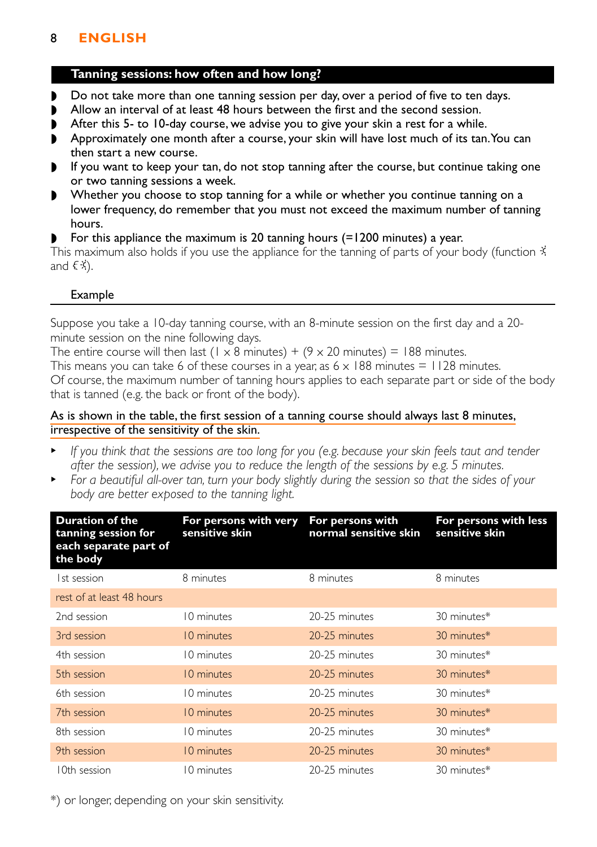# 8 **ENGLISH**

### **Tanning sessions: how often and how long?**

- ◗ Do not take more than one tanning session per day, over a period of five to ten days.
- ◗ Allow an interval of at least 48 hours between the first and the second session.
- After this 5- to 10-day course, we advise you to give your skin a rest for a while.
- ◗ Approximately one month after a course, your skin will have lost much of its tan.You can then start a new course.
- If you want to keep your tan, do not stop tanning after the course, but continue taking one or two tanning sessions a week.
- ◗ Whether you choose to stop tanning for a while or whether you continue tanning on a lower frequency, do remember that you must not exceed the maximum number of tanning hours.
- For this appliance the maximum is 20 tanning hours (=1200 minutes) a year.

This maximum also holds if you use the appliance for the tanning of parts of your body (function  $\ddot{x}$ and  $\xi \ddot{x}$ ).

## Example

Suppose you take a 10-day tanning course, with an 8-minute session on the first day and a 20 minute session on the nine following days.

The entire course will then last (1 x 8 minutes) +  $(9 \times 20 \text{ minutes}) = 188 \text{ minutes}$ . This means you can take 6 of these courses in a year, as  $6 \times 188$  minutes  $= 1128$  minutes. Of course, the maximum number of tanning hours applies to each separate part or side of the body that is tanned (e.g. the back or front of the body).

### As is shown in the table, the first session of a tanning course should always last 8 minutes, irrespective of the sensitivity of the skin.

- <sup>B</sup> *If you think that the sessions are too long for you (e.g. because your skin feels taut and tender after the session), we advise you to reduce the length of the sessions by e.g. 5 minutes.*
- **For a beautiful all-over tan, turn your body slightly during the session so that the sides of your** *body are better exposed to the tanning light.*

| <b>Duration of the</b><br>tanning session for<br>each separate part of<br>the body | For persons with very<br>sensitive skin | For persons with<br>normal sensitive skin | For persons with less<br>sensitive skin |
|------------------------------------------------------------------------------------|-----------------------------------------|-------------------------------------------|-----------------------------------------|
| 1st session                                                                        | 8 minutes                               | 8 minutes                                 | 8 minutes                               |
| rest of at least 48 hours                                                          |                                         |                                           |                                         |
| 2nd session                                                                        | 10 minutes                              | 20-25 minutes                             | 30 minutes*                             |
| 3rd session                                                                        | 10 minutes                              | 20-25 minutes                             | 30 minutes*                             |
| 4th session                                                                        | 10 minutes                              | 20-25 minutes                             | 30 minutes*                             |
| 5th session                                                                        | 10 minutes                              | 20-25 minutes                             | 30 minutes*                             |
| 6th session                                                                        | 10 minutes                              | 20-25 minutes                             | 30 minutes*                             |
| 7th session                                                                        | 10 minutes                              | 20-25 minutes                             | 30 minutes*                             |
| 8th session                                                                        | 10 minutes                              | 20-25 minutes                             | 30 minutes*                             |
| 9th session                                                                        | 10 minutes                              | 20-25 minutes                             | 30 minutes*                             |
| 10th session                                                                       | 10 minutes                              | 20-25 minutes                             | 30 minutes*                             |

\*) or longer, depending on your skin sensitivity.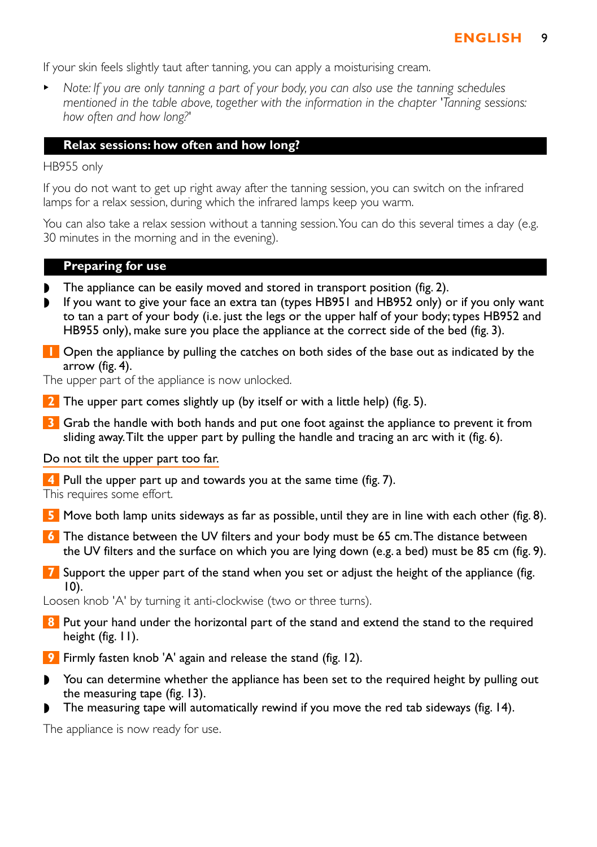If your skin feels slightly taut after tanning, you can apply a moisturising cream.

<sup>B</sup> *Note: If you are only tanning a part of your body, you can also use the tanning schedules mentioned in the table above, together with the information in the chapter 'Tanning sessions: how often and how long?'*

#### **Relax sessions: how often and how long?**

HB955 only

If you do not want to get up right away after the tanning session, you can switch on the infrared lamps for a relax session, during which the infrared lamps keep you warm.

You can also take a relax session without a tanning session. You can do this several times a day (e.g. 30 minutes in the morning and in the evening).

#### **Preparing for use**

- ◗ The appliance can be easily moved and stored in transport position (fig. 2).
- ◗ If you want to give your face an extra tan (types HB951 and HB952 only) or if you only want to tan a part of your body (i.e. just the legs or the upper half of your body; types HB952 and HB955 only), make sure you place the appliance at the correct side of the bed (fig. 3).
- **1** Open the appliance by pulling the catches on both sides of the base out as indicated by the arrow (fig. 4).

The upper part of the appliance is now unlocked.

- **2** The upper part comes slightly up (by itself or with a little help) (fig. 5).
- **3** Grab the handle with both hands and put one foot against the appliance to prevent it from sliding away.Tilt the upper part by pulling the handle and tracing an arc with it (fig. 6).

#### Do not tilt the upper part too far.

**4** Pull the upper part up and towards you at the same time (fig. 7). This requires some effort.

- **5** Move both lamp units sideways as far as possible, until they are in line with each other (fig. 8).
- **6** The distance between the UV filters and your body must be 65 cm.The distance between the UV filters and the surface on which you are lying down (e.g. a bed) must be 85 cm (fig. 9).
- **7** Support the upper part of the stand when you set or adjust the height of the appliance (fig. 10).

Loosen knob 'A' by turning it anti-clockwise (two or three turns).

- **8** Put your hand under the horizontal part of the stand and extend the stand to the required height (fig. 11).
- **9** Firmly fasten knob 'A' again and release the stand (fig. 12).
- ◗ You can determine whether the appliance has been set to the required height by pulling out the measuring tape (fig. 13).
- The measuring tape will automatically rewind if you move the red tab sideways (fig. 14).

The appliance is now ready for use.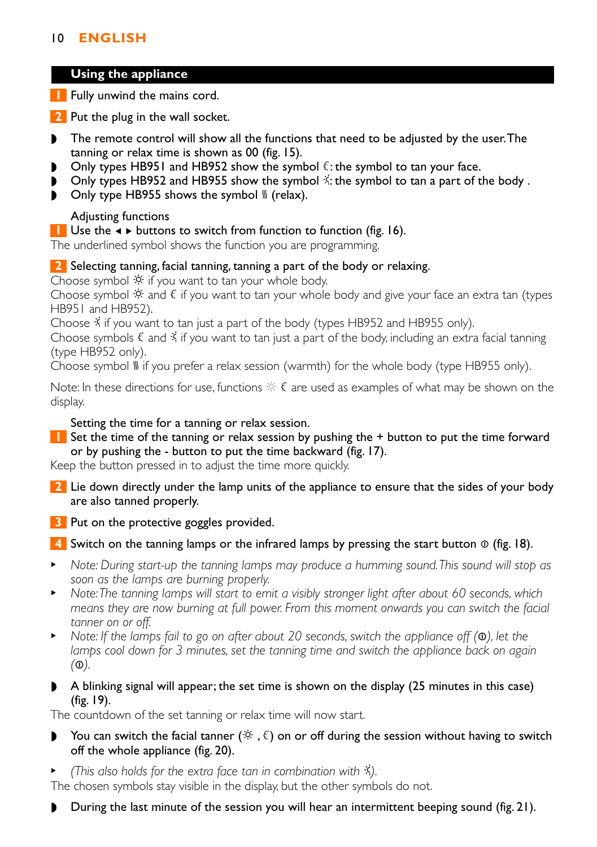# 10 **ENGLISH**

### **Using the appliance**

**1** Fully unwind the mains cord.

**2** Put the plug in the wall socket.

- ◗ The remote control will show all the functions that need to be adjusted by the user.The tanning or relax time is shown as 00 (fig. 15).
- Only types HB951 and HB952 show the symbol  $\xi$ : the symbol to tan your face.
- Only types HB952 and HB955 show the symbol  $\ddot{\gamma}$ : the symbol to tan a part of the body.
- $\triangleright$  Only type HB955 shows the symbol  $\mathcal G$  (relax).

### Adjusting functions

**1** Use the  $\triangleleft \triangleright$  buttons to switch from function to function (fig. 16).

The underlined symbol shows the function you are programming.

### **2** Selecting tanning, facial tanning, tanning a part of the body or relaxing.

Choose symbol  $\dot{\mathcal{R}}$  if you want to tan your whole body.

Choose symbol  $\ddot{\mathcal{R}}$  and  $\xi$  if you want to tan your whole body and give your face an extra tan (types HB951 and HB952).

Choose  $\frac{3}{2}$  if you want to tan just a part of the body (types HB952 and HB955 only).

Choose symbols  $\xi$  and  $\ddot{\xi}$  if you want to tan just a part of the body, including an extra facial tanning (type HB952 only).

Choose symbol  $\mathbb S$  if you prefer a relax session (warmth) for the whole body (type HB955 only).

Note: In these directions for use, functions  $\dot{\varphi} \in \mathcal{E}$  are used as examples of what may be shown on the display.

Setting the time for a tanning or relax session.

**1** Set the time of the tanning or relax session by pushing the + button to put the time forward or by pushing the - button to put the time backward (fig. 17).

Keep the button pressed in to adjust the time more quickly.

- **2** Lie down directly under the lamp units of the appliance to ensure that the sides of your body are also tanned properly.
- **3** Put on the protective goggles provided.
- **4** Switch on the tanning lamps or the infrared lamps by pressing the start button ⊙ (fig. 18).
- <sup>B</sup> *Note: During start-up the tanning lamps may produce a humming sound.This sound will stop as soon as the lamps are burning properly.*
- **•** Note: The tanning lamps will start to emit a visibly stronger light after about 60 seconds, which *means they are now burning at full power. From this moment onwards you can switch the facial tanner on or off.*
- <sup>B</sup> *Note: If the lamps fail to go on after about 20 seconds, switch the appliance off (*∞*), let the lamps cool down for 3 minutes, set the tanning time and switch the appliance back on again (*∞*).*
- ◗ A blinking signal will appear; the set time is shown on the display (25 minutes in this case) (fig. 19).

The countdown of the set tanning or relax time will now start.

- **▶ You can switch the facial tanner (** $\circledast$ ,  $\xi$ ) on or off during the session without having to switch off the whole appliance (fig. 20).
- <sup>B</sup> *(This also holds for the extra face tan in combination with* º*).*

The chosen symbols stay visible in the display, but the other symbols do not.

◗ During the last minute of the session you will hear an intermittent beeping sound (fig. 21).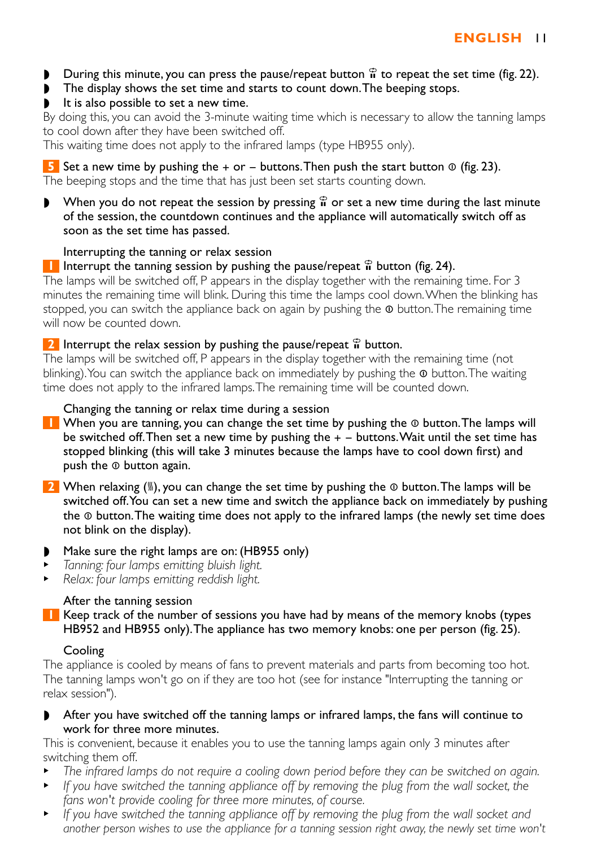- **During this minute, you can press the pause/repeat button**  $\hat{\mathbf{r}}$  **to repeat the set time (fig. 22).**
- ◗ The display shows the set time and starts to count down.The beeping stops.
- It is also possible to set a new time.

By doing this, you can avoid the 3-minute waiting time which is necessary to allow the tanning lamps to cool down after they have been switched off.

This waiting time does not apply to the infrared lamps (type HB955 only).

**5** Set a new time by pushing the  $+$  or  $-$  buttons. Then push the start button  $\Phi$  (fig. 23). The beeping stops and the time that has just been set starts counting down.

**•** When you do not repeat the session by pressing  $\hat{a}$  or set a new time during the last minute of the session, the countdown continues and the appliance will automatically switch off as soon as the set time has passed.

## Interrupting the tanning or relax session

**1** Interrupt the tanning session by pushing the pause/repeat  $\hat{\mathbf{r}}$  button (fig. 24).

The lamps will be switched off, P appears in the display together with the remaining time. For 3 minutes the remaining time will blink. During this time the lamps cool down.When the blinking has stopped, you can switch the appliance back on again by pushing the  $\Phi$  button. The remaining time will now be counted down.

# **2** Interrupt the relax session by pushing the pause/repeat  $\hat{\mathbf{r}}$  button.

The lamps will be switched off, P appears in the display together with the remaining time (not blinking). You can switch the appliance back on immediately by pushing the  $\Phi$  button. The waiting time does not apply to the infrared lamps.The remaining time will be counted down.

# Changing the tanning or relax time during a session

- 11 When you are tanning, you can change the set time by pushing the ⊕ button. The lamps will be switched off. Then set a new time by pushing the  $+$   $-$  buttons. Wait until the set time has stopped blinking (this will take 3 minutes because the lamps have to cool down first) and push the **◎** button again.
- **2** When relaxing (∭), you can change the set time by pushing the ⊕ button. The lamps will be switched off.You can set a new time and switch the appliance back on immediately by pushing the ∞ button.The waiting time does not apply to the infrared lamps (the newly set time does not blink on the display).
- Make sure the right lamps are on: (HB955 only)
- <sup>B</sup> *Tanning: four lamps emitting bluish light.*
- <sup>B</sup> *Relax: four lamps emitting reddish light.*

# After the tanning session

**1** Keep track of the number of sessions you have had by means of the memory knobs (types HB952 and HB955 only).The appliance has two memory knobs: one per person (fig. 25).

# Cooling

The appliance is cooled by means of fans to prevent materials and parts from becoming too hot. The tanning lamps won't go on if they are too hot (see for instance "Interrupting the tanning or relax session").

◗ After you have switched off the tanning lamps or infrared lamps, the fans will continue to work for three more minutes.

This is convenient, because it enables you to use the tanning lamps again only 3 minutes after switching them off.

- <sup>B</sup> *The infrared lamps do not require a cooling down period before they can be switched on again.*
- **F** *If you have switched the tanning appliance off by removing the plug from the wall socket, the fans won't provide cooling for three more minutes, of course.*
- **F** *If you have switched the tanning appliance off by removing the plug from the wall socket and another person wishes to use the appliance for a tanning session right away, the newly set time won't*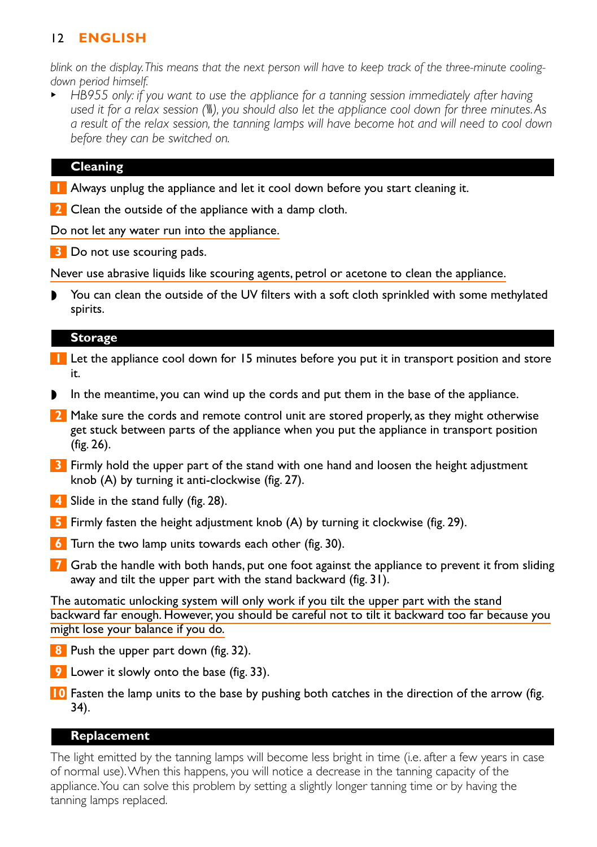# 12 **ENGLISH**

*blink on the display.This means that the next person will have to keep track of the three-minute coolingdown period himself.*

**B** *HB955 only: if you want to use the appliance for a tanning session immediately after having* used it for a relax session (\,\, you should also let the appliance cool down for three minutes.As *a result of the relax session, the tanning lamps will have become hot and will need to cool down before they can be switched on.*

### **Cleaning**

- **1** Always unplug the appliance and let it cool down before you start cleaning it.
- **2** Clean the outside of the appliance with a damp cloth.

Do not let any water run into the appliance.

**3** Do not use scouring pads.

Never use abrasive liquids like scouring agents, petrol or acetone to clean the appliance.

You can clean the outside of the UV filters with a soft cloth sprinkled with some methylated spirits.

#### **Storage**

- **1** Let the appliance cool down for 15 minutes before you put it in transport position and store it.
- In the meantime, you can wind up the cords and put them in the base of the appliance.
- **2** Make sure the cords and remote control unit are stored properly, as they might otherwise get stuck between parts of the appliance when you put the appliance in transport position (fig. 26).
- **3** Firmly hold the upper part of the stand with one hand and loosen the height adjustment knob (A) by turning it anti-clockwise (fig. 27).
- **4** Slide in the stand fully (fig. 28).
- **5** Firmly fasten the height adjustment knob (A) by turning it clockwise (fig. 29).
- **6** Turn the two lamp units towards each other (fig. 30).
- **7** Grab the handle with both hands, put one foot against the appliance to prevent it from sliding away and tilt the upper part with the stand backward (fig. 31).

The automatic unlocking system will only work if you tilt the upper part with the stand backward far enough. However, you should be careful not to tilt it backward too far because you might lose your balance if you do.

- **8** Push the upper part down (fig. 32).
- **9** Lower it slowly onto the base (fig. 33).
- **10** Fasten the lamp units to the base by pushing both catches in the direction of the arrow (fig. 34).

### **Replacement**

The light emitted by the tanning lamps will become less bright in time (i.e. after a few years in case of normal use).When this happens, you will notice a decrease in the tanning capacity of the appliance.You can solve this problem by setting a slightly longer tanning time or by having the tanning lamps replaced.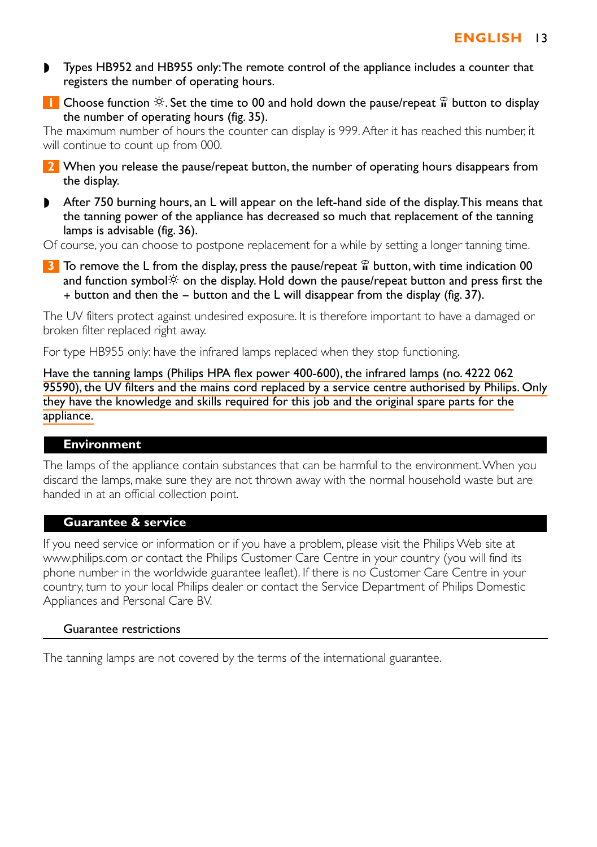- ◗ Types HB952 and HB955 only:The remote control of the appliance includes a counter that registers the number of operating hours.
- **1** Choose function  $\hat{\varphi}$ . Set the time to 00 and hold down the pause/repeat  $\hat{\mathbf{n}}$  button to display the number of operating hours (fig. 35).

The maximum number of hours the counter can display is 999.After it has reached this number, it will continue to count up from 000.

- **2** When you release the pause/repeat button, the number of operating hours disappears from the display.
- ◗ After 750 burning hours, an L will appear on the left-hand side of the display.This means that the tanning power of the appliance has decreased so much that replacement of the tanning lamps is advisable (fig. 36).

Of course, you can choose to postpone replacement for a while by setting a longer tanning time.

**3** To remove the L from the display, press the pause/repeat  $\hat{\mathbf{r}}$  button, with time indication 00 and function symbol $\circ$  on the display. Hold down the pause/repeat button and press first the  $+$  button and then the  $-$  button and the L will disappear from the display (fig. 37).

The UV filters protect against undesired exposure. It is therefore important to have a damaged or broken filter replaced right away.

For type HB955 only: have the infrared lamps replaced when they stop functioning.

Have the tanning lamps (Philips HPA flex power 400-600), the infrared lamps (no. 4222 062 95590), the UV filters and the mains cord replaced by a service centre authorised by Philips. Only they have the knowledge and skills required for this job and the original spare parts for the appliance.

### **Environment**

The lamps of the appliance contain substances that can be harmful to the environment.When you discard the lamps, make sure they are not thrown away with the normal household waste but are handed in at an official collection point.

### **Guarantee & service**

If you need service or information or if you have a problem, please visit the Philips Web site at www.philips.com or contact the Philips Customer Care Centre in your country (you will find its phone number in the worldwide guarantee leaflet). If there is no Customer Care Centre in your country, turn to your local Philips dealer or contact the Service Department of Philips Domestic Appliances and Personal Care BV.

#### Guarantee restrictions

The tanning lamps are not covered by the terms of the international guarantee.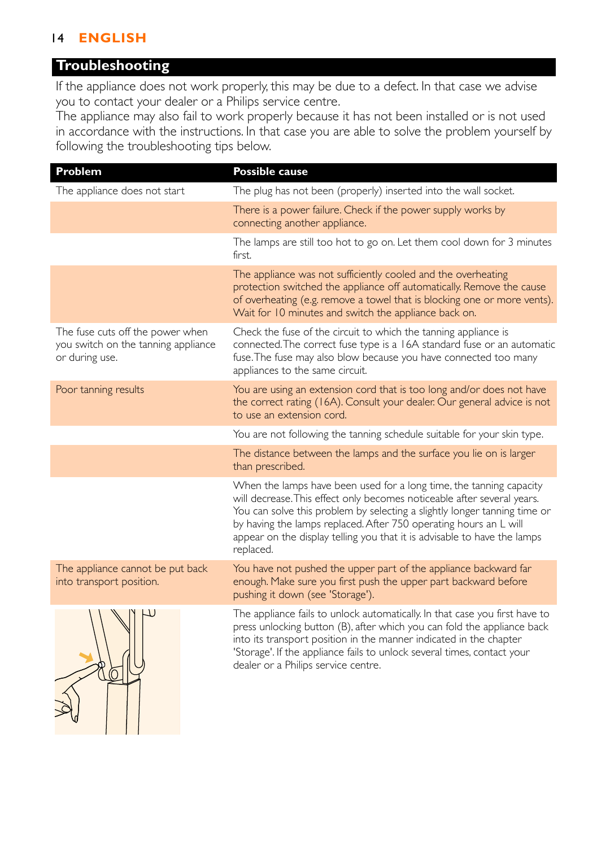# 14 **ENGLISH**

# **Troubleshooting**

If the appliance does not work properly, this may be due to a defect. In that case we advise you to contact your dealer or a Philips service centre.

The appliance may also fail to work properly because it has not been installed or is not used in accordance with the instructions. In that case you are able to solve the problem yourself by following the troubleshooting tips below.

| Problem                                                                                   | <b>Possible cause</b>                                                                                                                                                                                                                                                                                                                                                                     |
|-------------------------------------------------------------------------------------------|-------------------------------------------------------------------------------------------------------------------------------------------------------------------------------------------------------------------------------------------------------------------------------------------------------------------------------------------------------------------------------------------|
| The appliance does not start                                                              | The plug has not been (properly) inserted into the wall socket.                                                                                                                                                                                                                                                                                                                           |
|                                                                                           | There is a power failure. Check if the power supply works by<br>connecting another appliance.                                                                                                                                                                                                                                                                                             |
|                                                                                           | The lamps are still too hot to go on. Let them cool down for 3 minutes<br>first.                                                                                                                                                                                                                                                                                                          |
|                                                                                           | The appliance was not sufficiently cooled and the overheating<br>protection switched the appliance off automatically. Remove the cause<br>of overheating (e.g. remove a towel that is blocking one or more vents).<br>Wait for 10 minutes and switch the appliance back on.                                                                                                               |
| The fuse cuts off the power when<br>you switch on the tanning appliance<br>or during use. | Check the fuse of the circuit to which the tanning appliance is<br>connected. The correct fuse type is a 16A standard fuse or an automatic<br>fuse. The fuse may also blow because you have connected too many<br>appliances to the same circuit.                                                                                                                                         |
| Poor tanning results                                                                      | You are using an extension cord that is too long and/or does not have<br>the correct rating (16A). Consult your dealer. Our general advice is not<br>to use an extension cord.                                                                                                                                                                                                            |
|                                                                                           | You are not following the tanning schedule suitable for your skin type.                                                                                                                                                                                                                                                                                                                   |
|                                                                                           | The distance between the lamps and the surface you lie on is larger<br>than prescribed.                                                                                                                                                                                                                                                                                                   |
|                                                                                           | When the lamps have been used for a long time, the tanning capacity<br>will decrease. This effect only becomes noticeable after several years.<br>You can solve this problem by selecting a slightly longer tanning time or<br>by having the lamps replaced. After 750 operating hours an L will<br>appear on the display telling you that it is advisable to have the lamps<br>replaced. |
| The appliance cannot be put back<br>into transport position.                              | You have not pushed the upper part of the appliance backward far<br>enough. Make sure you first push the upper part backward before<br>pushing it down (see 'Storage').                                                                                                                                                                                                                   |
|                                                                                           | The appliance fails to unlock automatically. In that case you first have to<br>press unlocking button (B), after which you can fold the appliance back<br>into its transport position in the manner indicated in the chapter<br>'Storage'. If the appliance fails to unlock several times, contact your<br>dealer or a Philips service centre.                                            |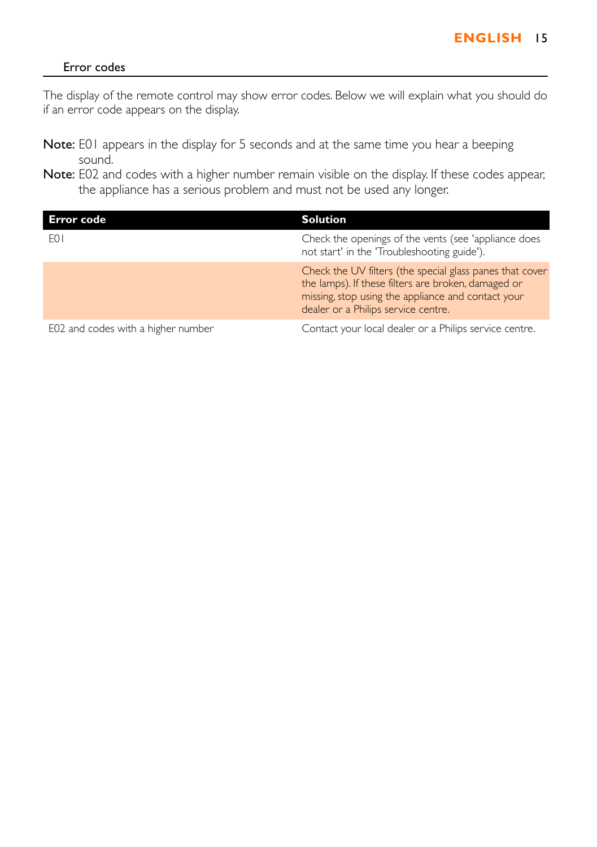### Error codes

The display of the remote control may show error codes. Below we will explain what you should do if an error code appears on the display.

- Note: E01 appears in the display for 5 seconds and at the same time you hear a beeping sound.
- Note: E02 and codes with a higher number remain visible on the display. If these codes appear, the appliance has a serious problem and must not be used any longer.

| Error code                         | <b>Solution</b>                                                                                                                                                                                              |
|------------------------------------|--------------------------------------------------------------------------------------------------------------------------------------------------------------------------------------------------------------|
| F <sub>0</sub>                     | Check the openings of the vents (see 'appliance does<br>not start' in the 'Troubleshooting guide').                                                                                                          |
|                                    | Check the UV filters (the special glass panes that cover<br>the lamps). If these filters are broken, damaged or<br>missing, stop using the appliance and contact your<br>dealer or a Philips service centre. |
| E02 and codes with a higher number | Contact your local dealer or a Philips service centre.                                                                                                                                                       |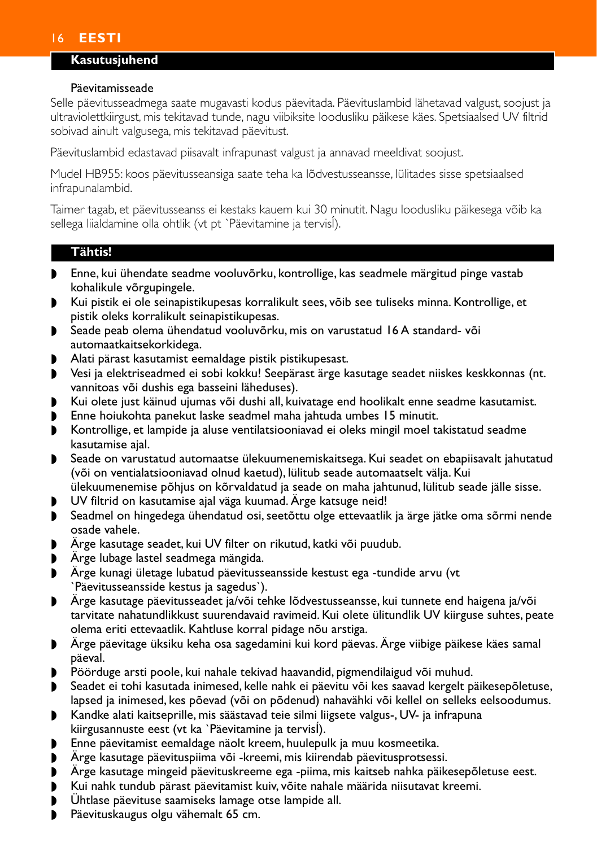# <span id="page-11-0"></span>16 **EESTI**

# **Kasutusjuhend**

#### Päevitamisseade

Selle päevitusseadmega saate mugavasti kodus päevitada. Päevituslambid lähetavad valgust, soojust ja ultraviolettkiirgust, mis tekitavad tunde, nagu viibiksite loodusliku päikese käes. Spetsiaalsed UV filtrid sobivad ainult valgusega, mis tekitavad päevitust.

Päevituslambid edastavad piisavalt infrapunast valgust ja annavad meeldivat soojust.

Mudel HB955: koos päevitusseansiga saate teha ka lõdvestusseansse, lülitades sisse spetsiaalsed infrapunalambid.

Taimer tagab, et päevitusseanss ei kestaks kauem kui 30 minutit. Nagu loodusliku päikesega võib ka sellega liialdamine olla ohtlik (vt pt `Päevitamine ja tervisÍ).

### **Tähtis!**

- ◗ Enne, kui ühendate seadme vooluvõrku, kontrollige, kas seadmele märgitud pinge vastab kohalikule võrgupingele.
- ◗ Kui pistik ei ole seinapistikupesas korralikult sees, võib see tuliseks minna. Kontrollige, et pistik oleks korralikult seinapistikupesas.
- ◗ Seade peab olema ühendatud vooluvõrku, mis on varustatud 16 A standard- või automaatkaitsekorkidega.
- ◗ Alati pärast kasutamist eemaldage pistik pistikupesast.
- ◗ Vesi ja elektriseadmed ei sobi kokku! Seepärast ärge kasutage seadet niiskes keskkonnas (nt. vannitoas või dushis ega basseini läheduses).
- ◗ Kui olete just käinud ujumas või dushi all, kuivatage end hoolikalt enne seadme kasutamist.
- ◗ Enne hoiukohta panekut laske seadmel maha jahtuda umbes 15 minutit.
- ◗ Kontrollige, et lampide ja aluse ventilatsiooniavad ei oleks mingil moel takistatud seadme kasutamise ajal.
- ◗ Seade on varustatud automaatse ülekuumenemiskaitsega. Kui seadet on ebapiisavalt jahutatud (või on ventialatsiooniavad olnud kaetud), lülitub seade automaatselt välja. Kui ülekuumenemise põhjus on kõrvaldatud ja seade on maha jahtunud, lülitub seade jälle sisse.
- ◗ UV filtrid on kasutamise ajal väga kuumad. Ärge katsuge neid!
- ◗ Seadmel on hingedega ühendatud osi, seetõttu olge ettevaatlik ja ärge jätke oma sõrmi nende osade vahele.
- ◗ Ärge kasutage seadet, kui UV filter on rikutud, katki või puudub.
- ◗ Ärge lubage lastel seadmega mängida.
- ◗ Ärge kunagi ületage lubatud päevitusseansside kestust ega -tundide arvu (vt `Päevitusseansside kestus ja sagedus`).
- ◗ Ärge kasutage päevitusseadet ja/või tehke lõdvestusseansse, kui tunnete end haigena ja/või tarvitate nahatundlikkust suurendavaid ravimeid. Kui olete ülitundlik UV kiirguse suhtes, peate olema eriti ettevaatlik. Kahtluse korral pidage nõu arstiga.
- ◗ Ärge päevitage üksiku keha osa sagedamini kui kord päevas. Ärge viibige päikese käes samal päeval.
- Pöörduge arsti poole, kui nahale tekivad haavandid, pigmendilaigud või muhud.
- ◗ Seadet ei tohi kasutada inimesed, kelle nahk ei päevitu või kes saavad kergelt päikesepõletuse, lapsed ja inimesed, kes põevad (või on põdenud) nahavähki või kellel on selleks eelsoodumus.
- ◗ Kandke alati kaitseprille, mis säästavad teie silmi liigsete valgus-, UV- ja infrapuna kiirgusannuste eest (vt ka `Päevitamine ja tervisÍ).
- ◗ Enne päevitamist eemaldage näolt kreem, huulepulk ja muu kosmeetika.
- ◗ Ärge kasutage päevituspiima või -kreemi, mis kiirendab päevitusprotsessi.
- ◗ Ärge kasutage mingeid päevituskreeme ega -piima, mis kaitseb nahka päikesepõletuse eest.
- ◗ Kui nahk tundub pärast päevitamist kuiv, võite nahale määrida niisutavat kreemi.
- **▶ Ühtlase päevituse saamiseks lamage otse lampide all.**<br>▶ Päevituskaugus olgu vähemalt 65 cm
- Päevituskaugus olgu vähemalt 65 cm.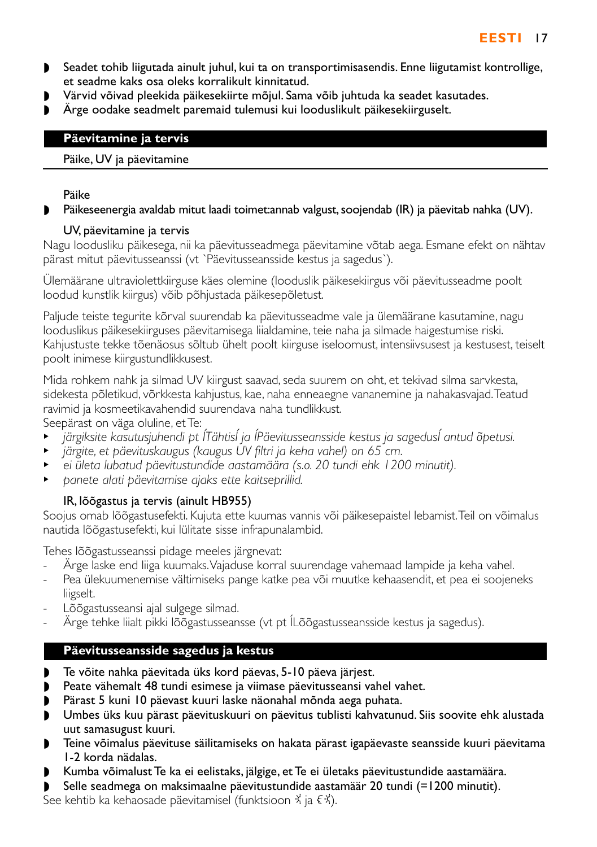- ◗ Seadet tohib liigutada ainult juhul, kui ta on transportimisasendis. Enne liigutamist kontrollige, et seadme kaks osa oleks korralikult kinnitatud.
- ◗ Värvid võivad pleekida päikesekiirte mõjul. Sama võib juhtuda ka seadet kasutades.
- ◗ Ärge oodake seadmelt paremaid tulemusi kui looduslikult päikesekiirguselt.

# **Päevitamine ja tervis**

## Päike, UV ja päevitamine

## Päike

# Päikeseenergia avaldab mitut laadi toimet: annab valgust, soojendab (IR) ja päevitab nahka (UV).

# UV, päevitamine ja tervis

Nagu loodusliku päikesega, nii ka päevitusseadmega päevitamine võtab aega. Esmane efekt on nähtav pärast mitut päevitusseanssi (vt `Päevitusseansside kestus ja sagedus`).

Ülemäärane ultraviolettkiirguse käes olemine (looduslik päikesekiirgus või päevitusseadme poolt loodud kunstlik kiirgus) võib põhjustada päikesepõletust.

Paljude teiste tegurite kõrval suurendab ka päevitusseadme vale ja ülemäärane kasutamine, nagu looduslikus päikesekiirguses päevitamisega liialdamine, teie naha ja silmade haigestumise riski. Kahjustuste tekke tõenäosus sõltub ühelt poolt kiirguse iseloomust, intensiivsusest ja kestusest, teiselt poolt inimese kiirgustundlikkusest.

Mida rohkem nahk ja silmad UV kiirgust saavad, seda suurem on oht, et tekivad silma sarvkesta, sidekesta põletikud, võrkkesta kahjustus, kae, naha enneaegne vananemine ja nahakasvajad.Teatud ravimid ja kosmeetikavahendid suurendava naha tundlikkust.

Seepärast on väga oluline, et Te:

- <sup>B</sup> *järgiksite kasutusjuhendi pt ÍTähtisÍ ja ÍPäevitusseansside kestus ja sagedusÍ antud õpetusi.*
- <sup>B</sup> *järgite, et päevituskaugus (kaugus UV filtri ja keha vahel) on 65 cm.*
- <sup>B</sup> *ei ületa lubatud päevitustundide aastamäära (s.o. 20 tundi ehk 1200 minutit).*
- <sup>B</sup> *panete alati päevitamise ajaks ette kaitseprillid.*

# IR, lõõgastus ja tervis (ainult HB955)

Soojus omab lõõgastusefekti. Kujuta ette kuumas vannis või päikesepaistel lebamist.Teil on võimalus nautida lõõgastusefekti, kui lülitate sisse infrapunalambid.

Tehes lõõgastusseanssi pidage meeles järgnevat:

- Ärge laske end liiga kuumaks.Vajaduse korral suurendage vahemaad lampide ja keha vahel.
- Pea ülekuumenemise vältimiseks pange katke pea või muutke kehaasendit, et pea ei soojeneks liigselt.
- Lõõgastusseansi ajal sulgege silmad.
- Ärge tehke liialt pikki lõõgastusseansse (vt pt ÍLõõgastusseansside kestus ja sagedus).

# **Päevitusseansside sagedus ja kestus**

- ◗ Te võite nahka päevitada üks kord päevas, 5-10 päeva järjest.
- ◗ Peate vähemalt 48 tundi esimese ja viimase päevitusseansi vahel vahet.
- ◗ Pärast 5 kuni 10 päevast kuuri laske näonahal mõnda aega puhata.
- ◗ Umbes üks kuu pärast päevituskuuri on päevitus tublisti kahvatunud. Siis soovite ehk alustada uut samasugust kuuri.
- ◗ Teine võimalus päevituse säilitamiseks on hakata pärast igapäevaste seansside kuuri päevitama 1-2 korda nädalas.
- ◗ Kumba võimalust Te ka ei eelistaks, jälgige, et Te ei ületaks päevitustundide aastamäära.
- ◗ Selle seadmega on maksimaalne päevitustundide aastamäär 20 tundi (=1200 minutit).

See kehtib ka kehaosade päevitamisel (funktsioon  $\ddot{x}$  ja  $\xi \ddot{x}$ ).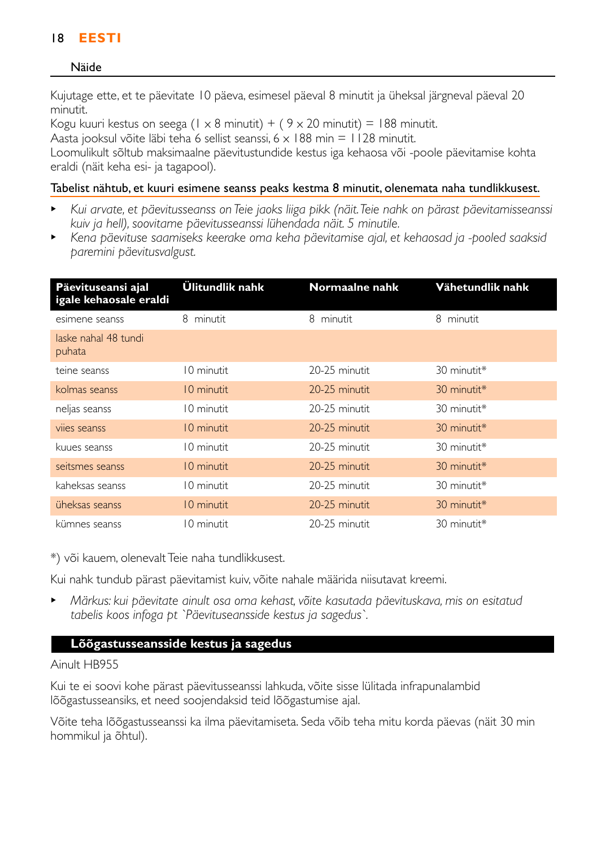# 18 **EESTI**

### Näide

Kujutage ette, et te päevitate 10 päeva, esimesel päeval 8 minutit ja üheksal järgneval päeval 20 minutit.

Kogu kuuri kestus on seega (1 x 8 minutit) + (  $9 \times 20$  minutit) = 188 minutit.

Aasta jooksul võite läbi teha 6 sellist seanssi,  $6 \times 188$  min = 1128 minutit.

Loomulikult sõltub maksimaalne päevitustundide kestus iga kehaosa või -poole päevitamise kohta eraldi (näit keha esi- ja tagapool).

### Tabelist nähtub, et kuuri esimene seanss peaks kestma 8 minutit, olenemata naha tundlikkusest.

- <sup>B</sup> *Kui arvate, et päevitusseanss on Teie jaoks liiga pikk (näit.Teie nahk on pärast päevitamisseanssi kuiv ja hell), soovitame päevitusseanssi lühendada näit. 5 minutile.*
- <sup>B</sup> *Kena päevituse saamiseks keerake oma keha päevitamise ajal, et kehaosad ja -pooled saaksid paremini päevitusvalgust.*

| Päevituseansi ajal<br>igale kehaosale eraldi | Ülitundlik nahk | Normaalne nahk | Vähetundlik nahk |
|----------------------------------------------|-----------------|----------------|------------------|
| esimene seanss                               | 8 minutit       | 8 minutit      | 8 minutit        |
| laske nahal 48 tundi<br>puhata               |                 |                |                  |
| teine seanss                                 | 10 minutit      | 20-25 minutit  | 30 minutit*      |
| kolmas seanss                                | 10 minutit      | 20-25 minutit  | 30 minutit*      |
| neljas seanss                                | 10 minutit      | 20-25 minutit  | 30 minutit*      |
| vijes seanss                                 | 10 minutit      | 20-25 minutit  | 30 minutit*      |
| kuues seanss                                 | 10 minutit      | 20-25 minutit  | 30 minutit*      |
| seitsmes seanss                              | 10 minutit      | 20-25 minutit  | 30 minutit*      |
| kaheksas seanss                              | 10 minutit      | 20-25 minutit  | 30 minutit*      |
| üheksas seanss                               | 10 minutit      | 20-25 minutit  | 30 minutit*      |
| kümnes seanss                                | 10 minutit      | 20-25 minutit  | 30 minutit*      |

\*) või kauem, olenevalt Teie naha tundlikkusest.

Kui nahk tundub pärast päevitamist kuiv, võite nahale määrida niisutavat kreemi.

<sup>B</sup> *Märkus: kui päevitate ainult osa oma kehast, võite kasutada päevituskava, mis on esitatud tabelis koos infoga pt `Päevituseansside kestus ja sagedus`.*

## **Lõõgastusseansside kestus ja sagedus**

### Ainult HB955

Kui te ei soovi kohe pärast päevitusseanssi lahkuda, võite sisse lülitada infrapunalambid lõõgastusseansiks, et need soojendaksid teid lõõgastumise ajal.

Võite teha lõõgastusseanssi ka ilma päevitamiseta. Seda võib teha mitu korda päevas (näit 30 min hommikul ja õhtul).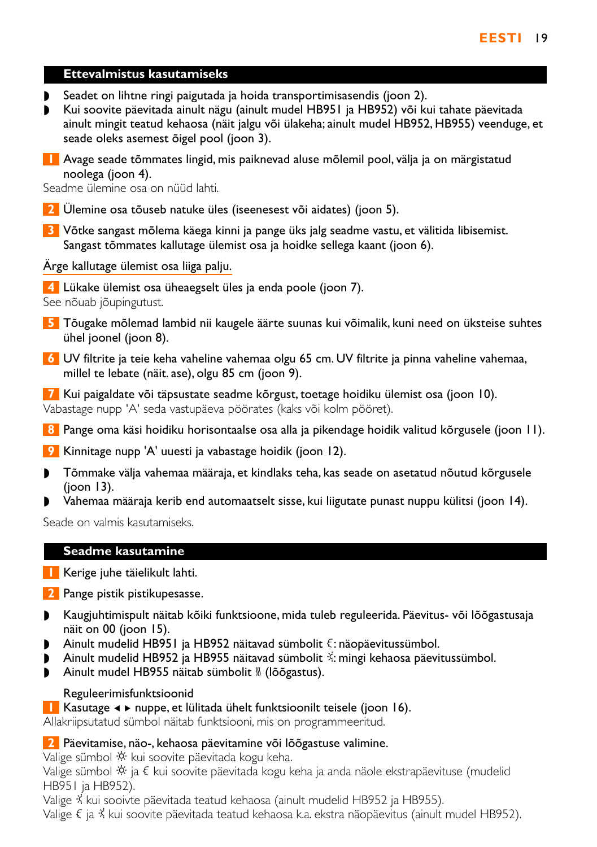### **Ettevalmistus kasutamiseks**

- ◗ Seadet on lihtne ringi paigutada ja hoida transportimisasendis (joon 2).
- ◗ Kui soovite päevitada ainult nägu (ainult mudel HB951 ja HB952) või kui tahate päevitada ainult mingit teatud kehaosa (näit jalgu või ülakeha; ainult mudel HB952, HB955) veenduge, et seade oleks asemest õigel pool (joon 3).
- **1** Avage seade tõmmates lingid, mis paiknevad aluse mõlemil pool, välja ja on märgistatud noolega (joon 4).

Seadme ülemine osa on nüüd lahti.

- **2** Ülemine osa tõuseb natuke üles (iseenesest või aidates) (joon 5).
- **3** Võtke sangast mõlema käega kinni ja pange üks jalg seadme vastu, et välitida libisemist. Sangast tõmmates kallutage ülemist osa ja hoidke sellega kaant (joon 6).

Ärge kallutage ülemist osa liiga palju.

**4** Lükake ülemist osa üheaegselt üles ja enda poole (joon 7). See nõuab jõupingutust.

- **5** Tõugake mõlemad lambid nii kaugele äärte suunas kui võimalik, kuni need on üksteise suhtes ühel joonel (joon 8).
- **6** UV filtrite ja teie keha vaheline vahemaa olgu 65 cm. UV filtrite ja pinna vaheline vahemaa, millel te lebate (näit. ase), olgu 85 cm (joon 9).

**7** Kui paigaldate või täpsustate seadme kõrgust, toetage hoidiku ülemist osa (joon 10). Vabastage nupp 'A' seda vastupäeva pöörates (kaks või kolm pööret).

- **8** Pange oma käsi hoidiku horisontaalse osa alla ja pikendage hoidik valitud kõrgusele (joon 11).
- **9** Kinnitage nupp 'A' uuesti ja vabastage hoidik (joon 12).
- ◗ Tõmmake välja vahemaa määraja, et kindlaks teha, kas seade on asetatud nõutud kõrgusele (joon 13).
- ◗ Vahemaa määraja kerib end automaatselt sisse, kui liigutate punast nuppu külitsi (joon 14).

Seade on valmis kasutamiseks.

### **Seadme kasutamine**

- **1** Kerige juhe täielikult lahti.
- **2** Pange pistik pistikupesasse.
- ◗ Kaugjuhtimispult näitab kõiki funktsioone, mida tuleb reguleerida. Päevitus- või lõõgastusaja näit on 00 (joon 15).
- ◗ Ainult mudelid HB951 ja HB952 näitavad sümbolit ª: näopäevitussümbol.
- ◗ Ainult mudelid HB952 ja HB955 näitavad sümbolit º: mingi kehaosa päevitussümbol.
- Ainult mudel HB955 näitab sümbolit <sub>»</sub> (lõõgastus).

### Reguleerimisfunktsioonid

### **1** Kasutage ◀ ► nuppe, et lülitada ühelt funktsioonilt teisele (joon 16).

Allakriipsutatud sümbol näitab funktsiooni, mis on programmeeritud.

### **2** Päevitamise, näo-, kehaosa päevitamine või lõõgastuse valimine.

Valige sümbol  $\ddot{\phi}$  kui soovite päevitada kogu keha.

Valige sümbol  $\dot{\mathcal{X}}$  ja  $\xi$  kui soovite päevitada kogu keha ja anda näole ekstrapäevituse (mudelid HB951 ja HB952).

Valige  $\frac{2}{3}$  kui sooivte päevitada teatud kehaosa (ainult mudelid HB952 ja HB955).

Valige  $\epsilon$  ja  $\dot{\lambda}$  kui soovite päevitada teatud kehaosa k.a. ekstra näopäevitus (ainult mudel HB952).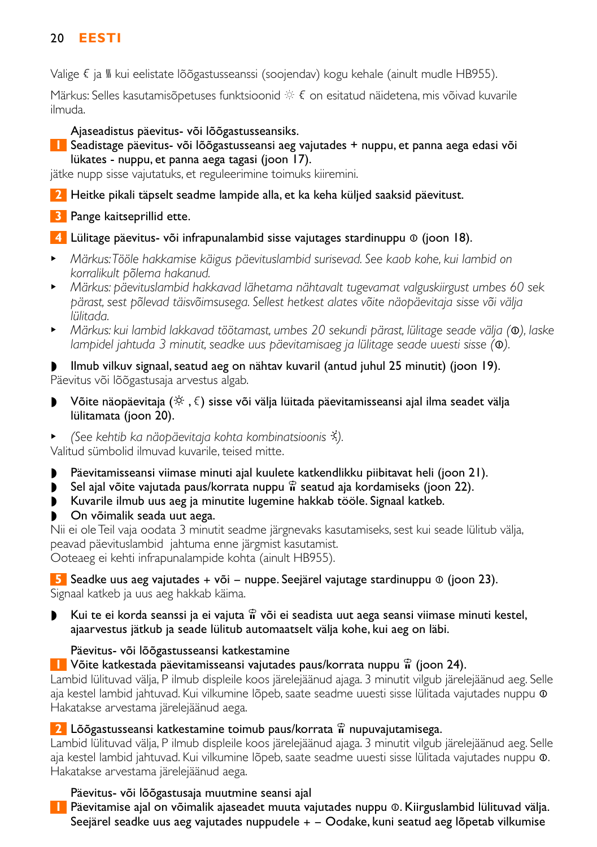# 20 **EESTI**

Valige  $\xi$  ja  $\mathcal{U}$  kui eelistate lõõgastusseanssi (soojendav) kogu kehale (ainult mudle HB955).

Märkus: Selles kasutamisõpetuses funktsioonid  $\Re$   $\epsilon$  on esitatud näidetena, mis võivad kuvarile ilmuda.

# Ajaseadistus päevitus- või lõõgastusseansiks.

## **1** Seadistage päevitus- või lõõgastusseansi aeg vajutades + nuppu, et panna aega edasi või lükates - nuppu, et panna aega tagasi (joon 17).

jätke nupp sisse vajutatuks, et reguleerimine toimuks kiiremini.

**2** Heitke pikali täpselt seadme lampide alla, et ka keha küljed saaksid päevitust.

# **3** Pange kaitseprillid ette.

- **4** Lülitage päevitus- või infrapunalambid sisse vajutages stardinuppu ∞ (joon 18).
- <sup>B</sup> *Märkus:Tööle hakkamise käigus päevituslambid surisevad. See kaob kohe, kui lambid on korralikult põlema hakanud.*
- <sup>B</sup> *Märkus: päevituslambid hakkavad lähetama nähtavalt tugevamat valguskiirgust umbes 60 sek pärast, sest põlevad täisvõimsusega. Sellest hetkest alates võite näopäevitaja sisse või välja lülitada.*
- <sup>B</sup> *Märkus: kui lambid lakkavad töötamast, umbes 20 sekundi pärast, lülitage seade välja (*∞*), laske lampidel jahtuda 3 minutit, seadke uus päevitamisaeg ja lülitage seade uuesti sisse (*∞*).*

◗ Ilmub vilkuv signaal, seatud aeg on nähtav kuvaril (antud juhul 25 minutit) (joon 19). Päevitus või lõõgastusaja arvestus algab.

- ▶ Võite näopäevitaja  $(\breve{\otimes}, \xi)$  sisse või välja lüitada päevitamisseansi ajal ilma seadet välja lülitamata (joon 20).
- <sup>B</sup> *(See kehtib ka näopäevitaja kohta kombinatsioonis* º*).*

Valitud sümbolid ilmuvad kuvarile, teised mitte.

- ◗ Päevitamisseansi viimase minuti ajal kuulete katkendlikku piibitavat heli (joon 21).
- ◗ Sel ajal võite vajutada paus/korrata nuppu § seatud aja kordamiseks (joon 22).
- ◗ Kuvarile ilmub uus aeg ja minutite lugemine hakkab tööle. Signaal katkeb.
- ◗ On võimalik seada uut aega.

Nii ei ole Teil vaja oodata 3 minutit seadme järgnevaks kasutamiseks, sest kui seade lülitub välja, peavad päevituslambid jahtuma enne järgmist kasutamist. Ooteaeg ei kehti infrapunalampide kohta (ainult HB955).

**5** Seadke uus aeg vajutades + või − nuppe. Seejärel vajutage stardinuppu ® (joon 23). Signaal katkeb ja uus aeg hakkab käima.

**▶** Kui te ei korda seanssi ja ei vajuta  $\hat{\mathbf{a}}$  või ei seadista uut aega seansi viimase minuti kestel, ajaarvestus jätkub ja seade lülitub automaatselt välja kohe, kui aeg on läbi.

## Päevitus- või lõõgastusseansi katkestamine

**1** Võite katkestada päevitamisseansi vajutades paus/korrata nuppu  $\hat{\mathbf{u}}$  (joon 24).

Lambid lülituvad välja, P ilmub displeile koos järelejäänud ajaga. 3 minutit vilgub järelejäänud aeg. Selle aja kestel lambid jahtuvad. Kui vilkumine lõpeb, saate seadme uuesti sisse lülitada vajutades nuppu ∞ Hakatakse arvestama järelejäänud aega.

## **2** Lõõgastusseansi katkestamine toimub paus/korrata  $\hat{r}$  nupuvajutamisega.

Lambid lülituvad välja, P ilmub displeile koos järelejäänud ajaga. 3 minutit vilgub järelejäänud aeg. Selle aja kestel lambid jahtuvad. Kui vilkumine lõpeb, saate seadme uuesti sisse lülitada vajutades nuppu ∞. Hakatakse arvestama järelejäänud aega.

## Päevitus- või lõõgastusaja muutmine seansi ajal

**1** Päevitamise ajal on võimalik ajaseadet muuta vajutades nuppu ∞. Kiirguslambid lülituvad välja. Seejärel seadke uus aeg vajutades nuppudele  $+$   $-$  Oodake, kuni seatud aeg lõpetab vilkumise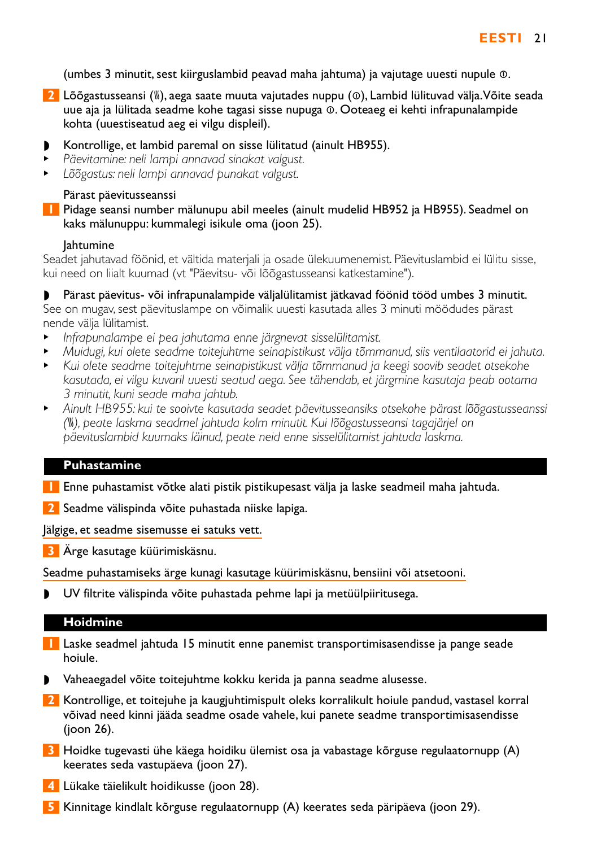(umbes 3 minutit, sest kiirguslambid peavad maha jahtuma) ja vajutage uuesti nupule ∞.

- **2** Lõõgastusseansi (<sub>»</sub>), aega saate muuta vajutades nuppu (⊙), Lambid lülituvad välja. Võite seada uue aja ja lülitada seadme kohe tagasi sisse nupuga ∞. Ooteaeg ei kehti infrapunalampide kohta (uuestiseatud aeg ei vilgu displeil).
- ◗ Kontrollige, et lambid paremal on sisse lülitatud (ainult HB955).
- <sup>B</sup> *Päevitamine: neli lampi annavad sinakat valgust.*
- <sup>B</sup> *Lõõgastus: neli lampi annavad punakat valgust.*

### Pärast päevitusseanssi

**1** Pidage seansi number mälunupu abil meeles (ainult mudelid HB952 ja HB955). Seadmel on kaks mälunuppu: kummalegi isikule oma (joon 25).

### Jahtumine

Seadet jahutavad föönid, et vältida materjali ja osade ülekuumenemist. Päevituslambid ei lülitu sisse, kui need on liialt kuumad (vt "Päevitsu- või lõõgastusseansi katkestamine").

◗ Pärast päevitus- või infrapunalampide väljalülitamist jätkavad föönid tööd umbes 3 minutit. See on mugav, sest päevituslampe on võimalik uuesti kasutada alles 3 minuti möödudes pärast nende välja lülitamist.

- <sup>B</sup> *Infrapunalampe ei pea jahutama enne järgnevat sisselülitamist.*
- <sup>B</sup> *Muidugi, kui olete seadme toitejuhtme seinapistikust välja tõmmanud, siis ventilaatorid ei jahuta.*
- <sup>B</sup> *Kui olete seadme toitejuhtme seinapistikust välja tõmmanud ja keegi soovib seadet otsekohe kasutada, ei vilgu kuvaril uuesti seatud aega. See tähendab, et järgmine kasutaja peab ootama 3 minutit, kuni seade maha jahtub.*
- <sup>B</sup> *Ainult HB955: kui te sooivte kasutada seadet päevitusseansiks otsekohe pärast lõõgastusseanssi (*–*), peate laskma seadmel jahtuda kolm minutit. Kui lõõgastusseansi tagajärjel on päevituslambid kuumaks läinud, peate neid enne sisselülitamist jahtuda laskma.*

### **Puhastamine**

**1** Enne puhastamist võtke alati pistik pistikupesast välja ja laske seadmeil maha jahtuda.

**2** Seadme välispinda võite puhastada niiske lapiga.

Jälgige, et seadme sisemusse ei satuks vett.

**3** Ärge kasutage küürimiskäsnu.

Seadme puhastamiseks ärge kunagi kasutage küürimiskäsnu, bensiini või atsetooni.

◗ UV filtrite välispinda võite puhastada pehme lapi ja metüülpiiritusega.

### **Hoidmine**

- **1** Laske seadmel jahtuda 15 minutit enne panemist transportimisasendisse ja pange seade hoiule.
- ◗ Vaheaegadel võite toitejuhtme kokku kerida ja panna seadme alusesse.
- **2** Kontrollige, et toitejuhe ja kaugjuhtimispult oleks korralikult hoiule pandud, vastasel korral võivad need kinni jääda seadme osade vahele, kui panete seadme transportimisasendisse (joon 26).
- **3** Hoidke tugevasti ühe käega hoidiku ülemist osa ja vabastage kõrguse regulaatornupp (A) keerates seda vastupäeva (joon 27).
- **4** Lükake täielikult hoidikusse (joon 28).
- **5** Kinnitage kindlalt kõrguse regulaatornupp (A) keerates seda päripäeva (joon 29).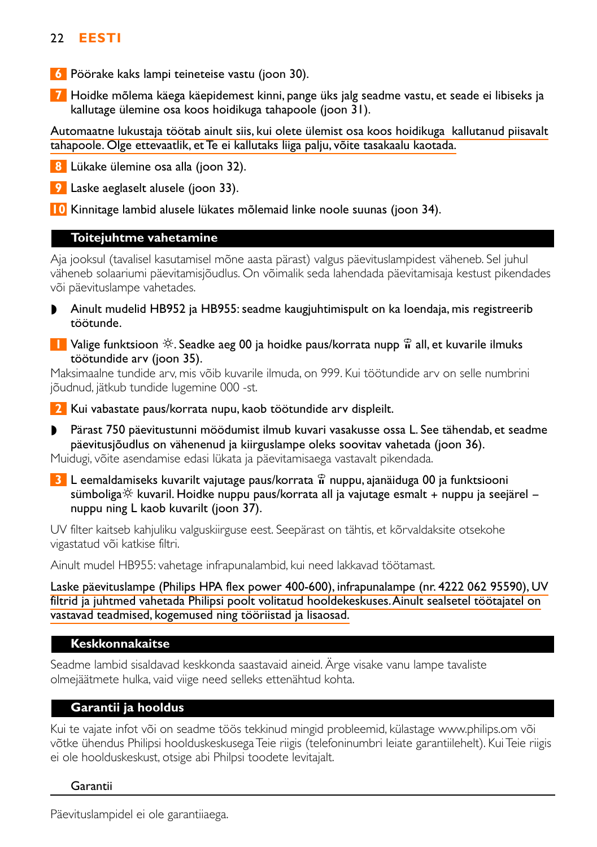# 22 **EESTI**

- **6** Pöörake kaks lampi teineteise vastu (joon 30).
- **7** Hoidke mõlema käega käepidemest kinni, pange üks jalg seadme vastu, et seade ei libiseks ja kallutage ülemine osa koos hoidikuga tahapoole (joon 31).

Automaatne lukustaja töötab ainult siis, kui olete ülemist osa koos hoidikuga kallutanud piisavalt tahapoole. Olge ettevaatlik, et Te ei kallutaks liiga palju, võite tasakaalu kaotada.

**8** Lükake ülemine osa alla (joon 32).

**9** Laske aeglaselt alusele (joon 33).

**10** Kinnitage lambid alusele lükates mõlemaid linke noole suunas (joon 34).

### **Toitejuhtme vahetamine**

Aja jooksul (tavalisel kasutamisel mõne aasta pärast) valgus päevituslampidest väheneb. Sel juhul väheneb solaariumi päevitamisjõudlus. On võimalik seda lahendada päevitamisaja kestust pikendades või päevituslampe vahetades.

- ◗ Ainult mudelid HB952 ja HB955: seadme kaugjuhtimispult on ka loendaja, mis registreerib töötunde.
- **1** Valige funktsioon  $\hat{\varphi}$ . Seadke aeg 00 ja hoidke paus/korrata nupp  $\hat{\mathbf{n}}$  all, et kuvarile ilmuks töötundide arv (joon 35).

Maksimaalne tundide arv, mis võib kuvarile ilmuda, on 999. Kui töötundide arv on selle numbrini jõudnud, jätkub tundide lugemine 000 -st.

**2** Kui vabastate paus/korrata nupu, kaob töötundide arv displeilt.

◗ Pärast 750 päevitustunni möödumist ilmub kuvari vasakusse ossa L. See tähendab, et seadme päevitusjõudlus on vähenenud ja kiirguslampe oleks soovitav vahetada (joon 36).

Muidugi, võite asendamise edasi lükata ja päevitamisaega vastavalt pikendada.

**3** L eemaldamiseks kuvarilt vajutage paus/korrata  $\hat{\mathbf{r}}$  nuppu, ajanäiduga 00 ja funktsiooni sümboliga $\hat{\mathcal{P}}$  kuvaril. Hoidke nuppu paus/korrata all ja vajutage esmalt + nuppu ja seejärel – nuppu ning L kaob kuvarilt (joon 37).

UV filter kaitseb kahjuliku valguskiirguse eest. Seepärast on tähtis, et kõrvaldaksite otsekohe vigastatud või katkise filtri.

Ainult mudel HB955: vahetage infrapunalambid, kui need lakkavad töötamast.

Laske päevituslampe (Philips HPA flex power 400-600), infrapunalampe (nr. 4222 062 95590), UV filtrid ja juhtmed vahetada Philipsi poolt volitatud hooldekeskuses.Ainult sealsetel töötajatel on vastavad teadmised, kogemused ning tööriistad ja lisaosad.

## **Keskkonnakaitse**

Seadme lambid sisaldavad keskkonda saastavaid aineid. Ärge visake vanu lampe tavaliste olmejäätmete hulka, vaid viige need selleks ettenähtud kohta.

## **Garantii ja hooldus**

Kui te vajate infot või on seadme töös tekkinud mingid probleemid, külastage www.philips.om või võtke ühendus Philipsi hoolduskeskusega Teie riigis (telefoninumbri leiate garantiilehelt). Kui Teie riigis ei ole hoolduskeskust, otsige abi Philpsi toodete levitajalt.

### Garantii

Päevituslampidel ei ole garantiiaega.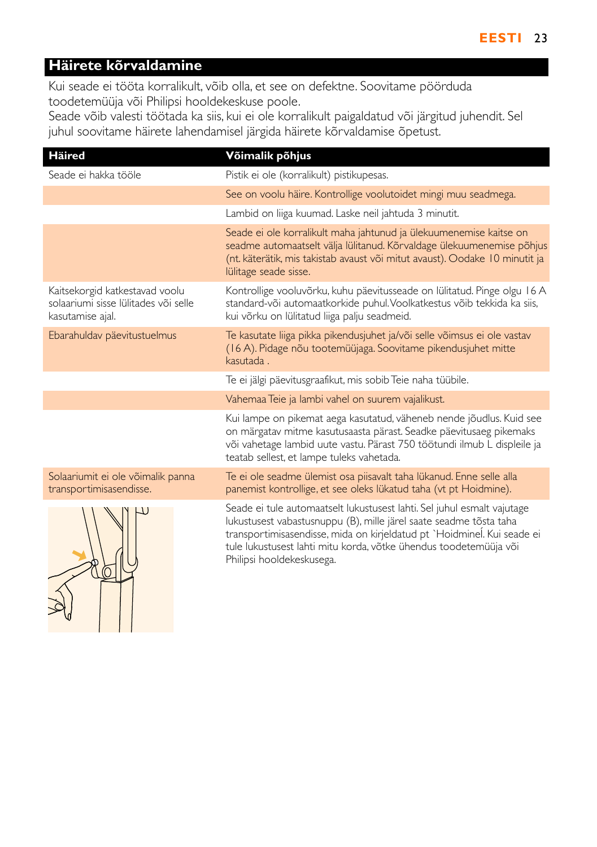# **Häirete kõrvaldamine**

Kui seade ei tööta korralikult, võib olla, et see on defektne. Soovitame pöörduda toodetemüüja või Philipsi hooldekeskuse poole.

Seade võib valesti töötada ka siis, kui ei ole korralikult paigaldatud või järgitud juhendit. Sel juhul soovitame häirete lahendamisel järgida häirete kõrvaldamise õpetust.

| <b>Häired</b>                                                                              | Võimalik põhjus                                                                                                                                                                                                                                                                                                            |
|--------------------------------------------------------------------------------------------|----------------------------------------------------------------------------------------------------------------------------------------------------------------------------------------------------------------------------------------------------------------------------------------------------------------------------|
| Seade ei hakka tööle                                                                       | Pistik ei ole (korralikult) pistikupesas.                                                                                                                                                                                                                                                                                  |
|                                                                                            | See on voolu häire. Kontrollige voolutoidet mingi muu seadmega.                                                                                                                                                                                                                                                            |
|                                                                                            | Lambid on liiga kuumad. Laske neil jahtuda 3 minutit.                                                                                                                                                                                                                                                                      |
|                                                                                            | Seade ei ole korralikult maha jahtunud ja ülekuumenemise kaitse on<br>seadme automaatselt välja lülitanud. Kõrvaldage ülekuumenemise põhjus<br>(nt. käterätik, mis takistab avaust või mitut avaust). Oodake 10 minutit ja<br>lülitage seade sisse.                                                                        |
| Kaitsekorgid katkestavad voolu<br>solaariumi sisse lülitades või selle<br>kasutamise ajal. | Kontrollige vooluvõrku, kuhu päevitusseade on lülitatud. Pinge olgu 16 A<br>standard-või automaatkorkide puhul. Voolkatkestus võib tekkida ka siis,<br>kui võrku on lülitatud liiga palju seadmeid.                                                                                                                        |
| Ebarahuldav päevitustuelmus                                                                | Te kasutate liiga pikka pikendusjuhet ja/või selle võimsus ei ole vastav<br>(16 A). Pidage nõu tootemüüjaga. Soovitame pikendusjuhet mitte<br>kasutada.                                                                                                                                                                    |
|                                                                                            | Te ei jälgi päevitusgraafikut, mis sobib Teie naha tüübile.                                                                                                                                                                                                                                                                |
|                                                                                            | Vahemaa Teie ja lambi vahel on suurem vajalikust.                                                                                                                                                                                                                                                                          |
|                                                                                            | Kui lampe on pikemat aega kasutatud, väheneb nende jõudlus. Kuid see<br>on märgatav mitme kasutusaasta pärast. Seadke päevitusaeg pikemaks<br>või vahetage lambid uute vastu. Pärast 750 töötundi ilmub L displeile ja<br>teatab sellest, et lampe tuleks vahetada.                                                        |
| Solaariumit ei ole võimalik panna<br>transportimisasendisse.                               | Te ei ole seadme ülemist osa piisavalt taha lükanud. Enne selle alla<br>panemist kontrollige, et see oleks lükatud taha (vt pt Hoidmine).                                                                                                                                                                                  |
|                                                                                            | Seade ei tule automaatselt lukustusest lahti. Sel juhul esmalt vajutage<br>lukustusest vabastusnuppu (B), mille järel saate seadme tõsta taha<br>transportimisasendisse, mida on kirjeldatud pt `Hoidminel. Kui seade ei<br>tule lukustusest lahti mitu korda, võtke ühendus toodetemüüja või<br>Philipsi hooldekeskusega. |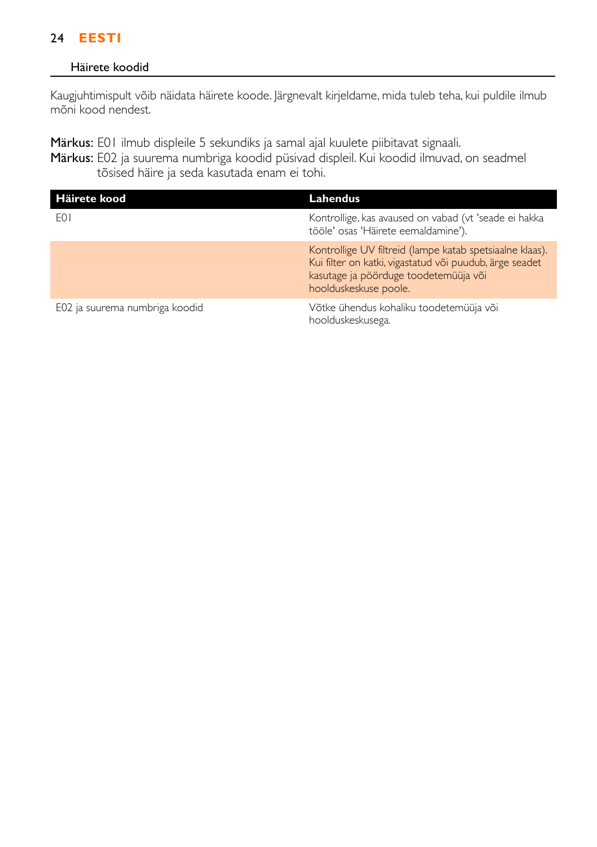# 24 **EESTI**

### Häirete koodid

Kaugjuhtimispult võib näidata häirete koode. Järgnevalt kirjeldame, mida tuleb teha, kui puldile ilmub mõni kood nendest.

Märkus: E01 ilmub displeile 5 sekundiks ja samal ajal kuulete piibitavat signaali.

Märkus: E02 ja suurema numbriga koodid püsivad displeil. Kui koodid ilmuvad, on seadmel tõsised häire ja seda kasutada enam ei tohi.

| Häirete kood                   | Lahendus                                                                                                                                                                              |
|--------------------------------|---------------------------------------------------------------------------------------------------------------------------------------------------------------------------------------|
| F <sub>0</sub>                 | Kontrollige, kas avaused on vabad (vt 'seade ei hakka<br>tööle' osas 'Häirete eemaldamine').                                                                                          |
|                                | Kontrollige UV filtreid (lampe katab spetsiaalne klaas).<br>Kui filter on katki, vigastatud või puudub, ärge seadet<br>kasutage ja pöörduge toodetemüüja või<br>hoolduskeskuse poole. |
| E02 ja suurema numbriga koodid | Võtke ühendus kohaliku toodetemüüja või<br>hoolduskeskusega.                                                                                                                          |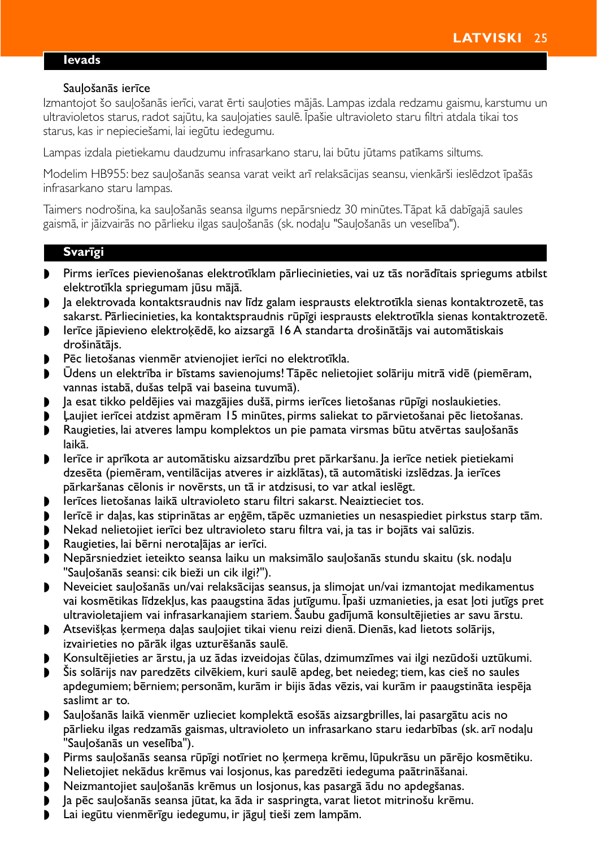#### <span id="page-20-0"></span>**Ievads**

#### Sauļošanās ierīce

Izmantojot šo sauļošanās ierīci, varat ērti sauļoties mājās. Lampas izdala redzamu gaismu, karstumu un ultravioletos starus, radot sajūtu, ka sauļojaties saulē. Īpašie ultravioleto staru filtri atdala tikai tos starus, kas ir nepieciešami, lai iegūtu iedegumu.

Lampas izdala pietiekamu daudzumu infrasarkano staru, lai būtu jūtams patīkams siltums.

Modelim HB955: bez sauļošanās seansa varat veikt arī relaksācijas seansu, vienkārši ieslēdzot īpašās infrasarkano staru lampas.

Taimers nodrošina, ka sauļošanās seansa ilgums nepārsniedz 30 minūtes.Tāpat kā dabīgajā saules gaismā, ir jāizvairās no pārlieku ilgas sauļošanās (sk. nodaļu "Sauļošanās un veselība").

### **Svarīgi**

- ◗ Pirms ierīces pievienošanas elektrotīklam pārliecinieties, vai uz tās norādītais spriegums atbilst elektrotīkla spriegumam jūsu mājā.
- ◗ Ja elektrovada kontaktsraudnis nav līdz galam iesprausts elektrotīkla sienas kontaktrozetē, tas sakarst. Pārliecinieties, ka kontaktspraudnis rūpīgi iesprausts elektrotīkla sienas kontaktrozetē.
- ◗ Ierīce jāpievieno elektroķēdē, ko aizsargā 16 A standarta drošinātājs vai automātiskais drošinātājs.
- ◗ Pēc lietošanas vienmēr atvienojiet ierīci no elektrotīkla.
- ◗ Ūdens un elektrība ir bīstams savienojums! Tāpēc nelietojiet solāriju mitrā vidē (piemēram, vannas istabā, dušas telpā vai baseina tuvumā).
- ◗ Ja esat tikko peldējies vai mazgājies dušā, pirms ierīces lietošanas rūpīgi noslaukieties.
- ◗ Ļaujiet ierīcei atdzist apmēram 15 minūtes, pirms saliekat to pārvietošanai pēc lietošanas.
- ◗ Raugieties, lai atveres lampu komplektos un pie pamata virsmas būtu atvērtas sauļošanās laikā.
- ◗ Ierīce ir aprīkota ar automātisku aizsardzību pret pārkaršanu. Ja ierīce netiek pietiekami dzesēta (piemēram, ventilācijas atveres ir aizklātas), tā automātiski izslēdzas. Ja ierīces pārkaršanas cēlonis ir novērsts, un tā ir atdzisusi, to var atkal ieslēgt.
- ◗ Ierīces lietošanas laikā ultravioleto staru filtri sakarst. Neaiztieciet tos.
- ▶ Ierīcē ir daļas, kas stiprinātas ar eņģēm, tāpēc uzmanieties un nesaspiediet pirkstus starp tām.<br>▶ Nekad nelietojiet ierīci bez ultravioleto staru filtra vai ja tas ir bojāts vai salūzis.
- ◗ Nekad nelietojiet ierīci bez ultravioleto staru filtra vai, ja tas ir bojāts vai salūzis.
- ◗ Raugieties, lai bērni nerotaļājas ar ierīci.
- ◗ Nepārsniedziet ieteikto seansa laiku un maksimālo sauļošanās stundu skaitu (sk. nodaļu "Sauļošanās seansi: cik bieži un cik ilgi?").
- ◗ Neveiciet sauļošanās un/vai relaksācijas seansus, ja slimojat un/vai izmantojat medikamentus vai kosmētikas līdzekļus, kas paaugstina ādas jutīgumu. Īpaši uzmanieties, ja esat ļoti jutīgs pret ultravioletajiem vai infrasarkanajiem stariem. Šaubu gadījumā konsultējieties ar savu ārstu.
- ◗ Atsevišķas ķermeņa daļas sauļojiet tikai vienu reizi dienā. Dienās, kad lietots solārijs, izvairieties no pārāk ilgas uzturēšanās saulē.
- ◗ Konsultējieties ar ārstu, ja uz ādas izveidojas čūlas, dzimumzīmes vai ilgi nezūdoši uztūkumi.
- ◗ Šis solārijs nav paredzēts cilvēkiem, kuri saulē apdeg, bet neiedeg; tiem, kas cieš no saules apdegumiem; bērniem; personām, kurām ir bijis ādas vēzis, vai kurām ir paaugstināta iespēja saslimt ar to.
- ◗ Sauļošanās laikā vienmēr uzlieciet komplektā esošās aizsargbrilles, lai pasargātu acis no pārlieku ilgas redzamās gaismas, ultravioleto un infrasarkano staru iedarbības (sk. arī nodaļu "Sauļošanās un veselība").
- ◗ Pirms sauļošanās seansa rūpīgi notīriet no ķermeņa krēmu, lūpukrāsu un pārējo kosmētiku.
- ◗ Nelietojiet nekādus krēmus vai losjonus, kas paredzēti iedeguma paātrināšanai.
- ◗ Neizmantojiet sauļošanās krēmus un losjonus, kas pasargā ādu no apdegšanas.
- ◗ Ja pēc sauļošanās seansa jūtat, ka āda ir saspringta, varat lietot mitrinošu krēmu.
- ◗ Lai iegūtu vienmērīgu iedegumu, ir jāguļ tieši zem lampām.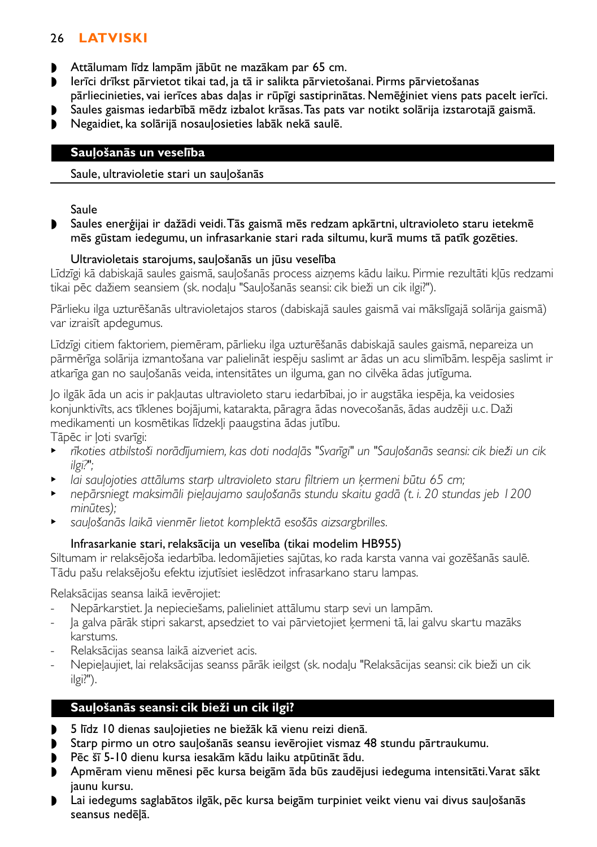# 26 **LATVISKI**

- ◗ Attālumam līdz lampām jābūt ne mazākam par 65 cm.
- ◗ Ierīci drīkst pārvietot tikai tad, ja tā ir salikta pārvietošanai. Pirms pārvietošanas
- pārliecinieties, vai ierīces abas daļas ir rūpīgi sastiprinātas. Nemēģiniet viens pats pacelt ierīci.
- ◗ Saules gaismas iedarbībā mēdz izbalot krāsas.Tas pats var notikt solārija izstarotajā gaismā.
- ◗ Negaidiet, ka solārijā nosauļosieties labāk nekā saulē.

## **Sauļošanās un veselība**

## Saule, ultravioletie stari un sauļošanās

Saule

◗ Saules enerģijai ir dažādi veidi.Tās gaismā mēs redzam apkārtni, ultravioleto staru ietekmē mēs gūstam iedegumu, un infrasarkanie stari rada siltumu, kurā mums tā patīk gozēties.

## Ultravioletais starojums, sauļošanās un jūsu veselība

Līdzīgi kā dabiskajā saules gaismā, sauļošanās process aizņems kādu laiku. Pirmie rezultāti kļūs redzami tikai pēc dažiem seansiem (sk. nodaļu "Sauļošanās seansi: cik bieži un cik ilgi?").

Pārlieku ilga uzturēšanās ultravioletajos staros (dabiskajā saules gaismā vai mākslīgajā solārija gaismā) var izraisīt apdegumus.

Līdzīgi citiem faktoriem, piemēram, pārlieku ilga uzturēšanās dabiskajā saules gaismā, nepareiza un pārmērīga solārija izmantošana var palielināt iespēju saslimt ar ādas un acu slimībām. Iespēja saslimt ir atkarīga gan no sauļošanās veida, intensitātes un ilguma, gan no cilvēka ādas jutīguma.

Jo ilgāk āda un acis ir pakļautas ultravioleto staru iedarbībai, jo ir augstāka iespēja, ka veidosies konjunktivīts, acs tīklenes bojājumi, katarakta, pāragra ādas novecošanās, ādas audzēji u.c. Daži medikamenti un kosmētikas līdzekļi paaugstina ādas jutību.

Tāpēc ir ļoti svarīgi:

- <sup>B</sup> *rīkoties atbilstoši norādījumiem, kas doti nodaļās "Svarīgi" un "Sauļošanās seansi: cik bieži un cik ilgi?";*
- lai sauļojoties attālums starp ultravioleto staru filtriem un ķermeni būtu 65 cm;
- <sup>B</sup> *nepārsniegt maksimāli pieļaujamo sauļošanās stundu skaitu gadā (t. i. 20 stundas jeb 1200 minūtes);*
- <sup>B</sup> *sauļošanās laikā vienmēr lietot komplektā esošās aizsargbrilles.*

# Infrasarkanie stari, relaksācija un veselība (tikai modelim HB955)

Siltumam ir relaksējoša iedarbība. Iedomājieties sajūtas, ko rada karsta vanna vai gozēšanās saulē. Tādu pašu relaksējošu efektu izjutīsiet ieslēdzot infrasarkano staru lampas.

Relaksācijas seansa laikā ievērojiet:

- Nepārkarstiet. Ja nepieciešams, palieliniet attālumu starp sevi un lampām.
- Ja galva pārāk stipri sakarst, apsedziet to vai pārvietojiet ķermeni tā, lai galvu skartu mazāks karstums.
- Relaksācijas seansa laikā aizveriet acis.
- Nepieļaujiet, lai relaksācijas seanss pārāk ieilgst (sk. nodaļu "Relaksācijas seansi: cik bieži un cik ilgi?").

# **Sauļošanās seansi: cik bieži un cik ilgi?**

- ◗ 5 līdz 10 dienas sauļojieties ne biežāk kā vienu reizi dienā.
- ◗ Starp pirmo un otro sauļošanās seansu ievērojiet vismaz 48 stundu pārtraukumu.
- ◗ Pēc šī 5-10 dienu kursa iesakām kādu laiku atpūtināt ādu.
- ◗ Apmēram vienu mēnesi pēc kursa beigām āda būs zaudējusi iedeguma intensitāti.Varat sākt jaunu kursu.
- ◗ Lai iedegums saglabātos ilgāk, pēc kursa beigām turpiniet veikt vienu vai divus sauļošanās seansus nedēļā.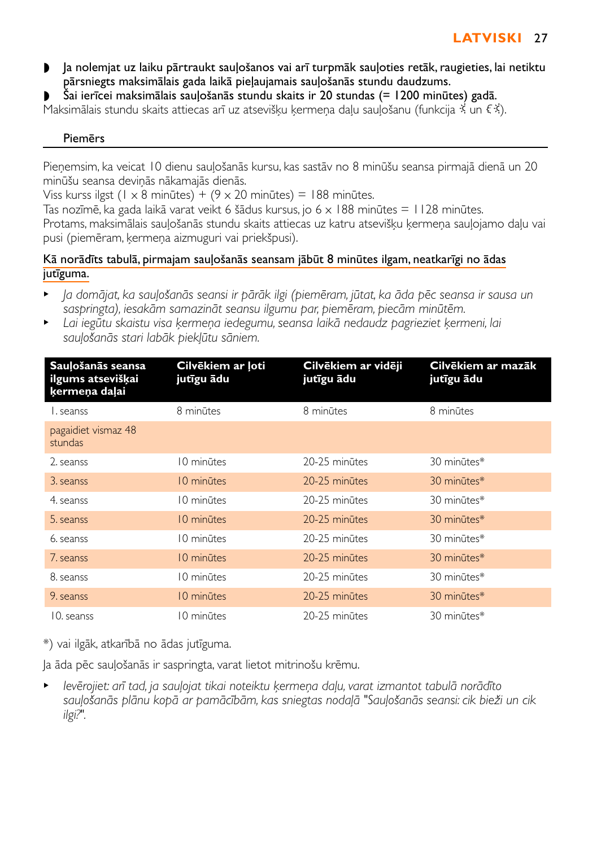- ◗ Ja nolemjat uz laiku pārtraukt sauļošanos vai arī turpmāk sauļoties retāk, raugieties, lai netiktu pārsniegts maksimālais gada laikā pieļaujamais sauļošanās stundu daudzums.
- ◗ Šai ierīcei maksimālais sauļošanās stundu skaits ir 20 stundas (= 1200 minūtes) gadā.

Maksimālais stundu skaits attiecas arī uz atsevišķu ķermeņa daļu sauļošanu (funkcija ½ un € ½).

### Piemērs

Pieņemsim, ka veicat 10 dienu sauļošanās kursu, kas sastāv no 8 minūšu seansa pirmajā dienā un 20 minūšu seansa deviņās nākamajās dienās.

Viss kurss ilgst (1 x 8 minūtes) + (9 x 20 minūtes) = 188 minūtes.

Tas nozīmē, ka gada laikā varat veikt 6 šādus kursus, jo 6 x 188 minūtes = 1128 minūtes. Protams, maksimālais sauļošanās stundu skaits attiecas uz katru atsevišķu ķermeņa sauļojamo daļu vai pusi (piemēram, ķermeņa aizmuguri vai priekšpusi).

## Kā norādīts tabulā, pirmajam sauļošanās seansam jābūt 8 minūtes ilgam, neatkarīgi no ādas jutīguma.

- <sup>B</sup> *Ja domājat, ka sauļošanās seansi ir pārāk ilgi (piemēram, jūtat, ka āda pēc seansa ir sausa un saspringta), iesakām samazināt seansu ilgumu par, piemēram, piecām minūtēm.*
- <sup>B</sup> *Lai iegūtu skaistu visa ķermeņa iedegumu, seansa laikā nedaudz pagrieziet ķermeni, lai sauļošanās stari labāk piekļūtu sāniem.*

| Sauļošanās seansa<br>ilgums atsevišķai<br>kermena dalai | Cilvēkiem ar ļoti<br>jutīgu ādu | Cilvēkiem ar vidēji<br>jutīgu ādu | Cilvēkiem ar mazāk<br>jutīgu ādu |
|---------------------------------------------------------|---------------------------------|-----------------------------------|----------------------------------|
| L seanss                                                | 8 minūtes                       | 8 minūtes                         | 8 minūtes                        |
| pagaidiet vismaz 48<br>stundas                          |                                 |                                   |                                  |
| 2. seanss                                               | 10 minūtes                      | 20-25 minutes                     | 30 minūtes*                      |
| 3. seanss                                               | 10 minūtes                      | 20-25 minūtes                     | 30 minūtes*                      |
| 4. seanss                                               | 10 minūtes                      | 20-25 minūtes                     | 30 minūtes*                      |
| 5. seanss                                               | 10 minūtes                      | 20-25 minūtes                     | 30 minūtes*                      |
| 6. seanss                                               | 10 minūtes                      | 20-25 minūtes                     | 30 minūtes*                      |
| 7. seanss                                               | 10 minūtes                      | 20-25 minūtes                     | 30 minūtes*                      |
| 8. seanss                                               | 10 minūtes                      | 20-25 minūtes                     | 30 minūtes*                      |
| 9. seanss                                               | 10 minūtes                      | 20-25 minūtes                     | 30 minūtes*                      |
| 10. seanss                                              | 10 minūtes                      | 20-25 minūtes                     | 30 minūtes*                      |

\*) vai ilgāk, atkarībā no ādas jutīguma.

Ja āda pēc sauļošanās ir saspringta, varat lietot mitrinošu krēmu.

<sup>B</sup> *Ievērojiet: arī tad, ja sauļojat tikai noteiktu ķermeņa daļu, varat izmantot tabulā norādīto sauļošanās plānu kopā ar pamācībām, kas sniegtas nodaļā "Sauļošanās seansi: cik bieži un cik ilgi?".*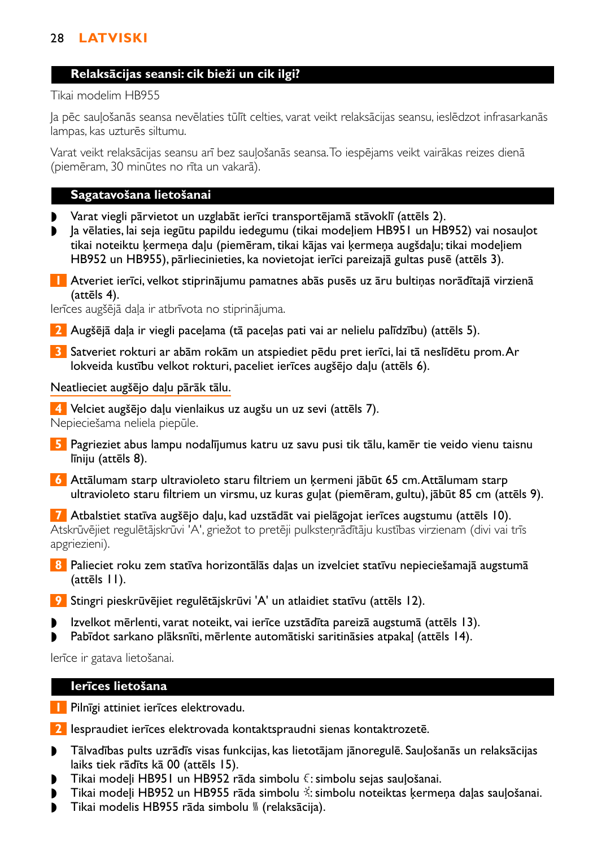# 28 **LATVISKI**

#### **Relaksācijas seansi: cik bieži un cik ilgi?**

Tikai modelim HB955

Ja pēc sauļošanās seansa nevēlaties tūlīt celties, varat veikt relaksācijas seansu, ieslēdzot infrasarkanās lampas, kas uzturēs siltumu.

Varat veikt relaksācijas seansu arī bez sauļošanās seansa.To iespējams veikt vairākas reizes dienā (piemēram, 30 minūtes no rīta un vakarā).

### **Sagatavošana lietošanai**

- ◗ Varat viegli pārvietot un uzglabāt ierīci transportējamā stāvoklī (attēls 2).
- ◗ Ja vēlaties, lai seja iegūtu papildu iedegumu (tikai modeļiem HB951 un HB952) vai nosauļot tikai noteiktu ķermeņa daļu (piemēram, tikai kājas vai ķermeņa augšdaļu; tikai modeļiem HB952 un HB955), pārliecinieties, ka novietojat ierīci pareizajā gultas pusē (attēls 3).
- **1** Atveriet ierīci, velkot stiprinājumu pamatnes abās pusēs uz āru bultiņas norādītajā virzienā (attēls 4).

Ierīces augšējā daļa ir atbrīvota no stiprinājuma.

- **2** Augšējā daļa ir viegli paceļama (tā paceļas pati vai ar nelielu palīdzību) (attēls 5).
- **3** Satveriet rokturi ar abām rokām un atspiediet pēdu pret ierīci, lai tā neslīdētu prom.Ar lokveida kustību velkot rokturi, paceliet ierīces augšējo daļu (attēls 6).

#### Neatlieciet augšējo daļu pārāk tālu.

**4** Velciet augšējo daļu vienlaikus uz augšu un uz sevi (attēls 7). Nepieciešama neliela piepūle.

- **5** Pagrieziet abus lampu nodalījumus katru uz savu pusi tik tālu, kamēr tie veido vienu taisnu līniju (attēls 8).
- **6** Attālumam starp ultravioleto staru filtriem un ķermeni jābūt 65 cm.Attālumam starp ultravioleto staru filtriem un virsmu, uz kuras guļat (piemēram, gultu), jābūt 85 cm (attēls 9).

**7** Atbalstiet statīva augšējo daļu, kad uzstādāt vai pielāgojat ierīces augstumu (attēls 10). Atskrūvējiet regulētājskrūvi 'A', griežot to pretēji pulksteņrādītāju kustības virzienam (divi vai trīs apgriezieni).

- **8** Palieciet roku zem statīva horizontālās daļas un izvelciet statīvu nepieciešamajā augstumā (attēls 11).
- **9** Stingri pieskrūvējiet regulētājskrūvi 'A' un atlaidiet statīvu (attēls 12).
- ◗ Izvelkot mērlenti, varat noteikt, vai ierīce uzstādīta pareizā augstumā (attēls 13).
- ◗ Pabīdot sarkano plāksnīti, mērlente automātiski saritināsies atpakaļ (attēls 14).

Ierīce ir gatava lietošanai.

### **Ierīces lietošana**

- **1** Pilnīgi attiniet ierīces elektrovadu.
- **2** Iespraudiet ierīces elektrovada kontaktspraudni sienas kontaktrozetē.
- ◗ Tālvadības pults uzrādīs visas funkcijas, kas lietotājam jānoregulē. Sauļošanās un relaksācijas laiks tiek rādīts kā 00 (attēls 15).
- Tikai modeļi HB951 un HB952 rāda simbolu  $\xi$ : simbolu sejas sauļošanai.
- ◗ Tikai modeļi HB952 un HB955 rāda simbolu º: simbolu noteiktas ķermeņa daļas sauļošanai.
- Tikai modelis HB955 rāda simbolu <sub>»</sub> (relaksācija).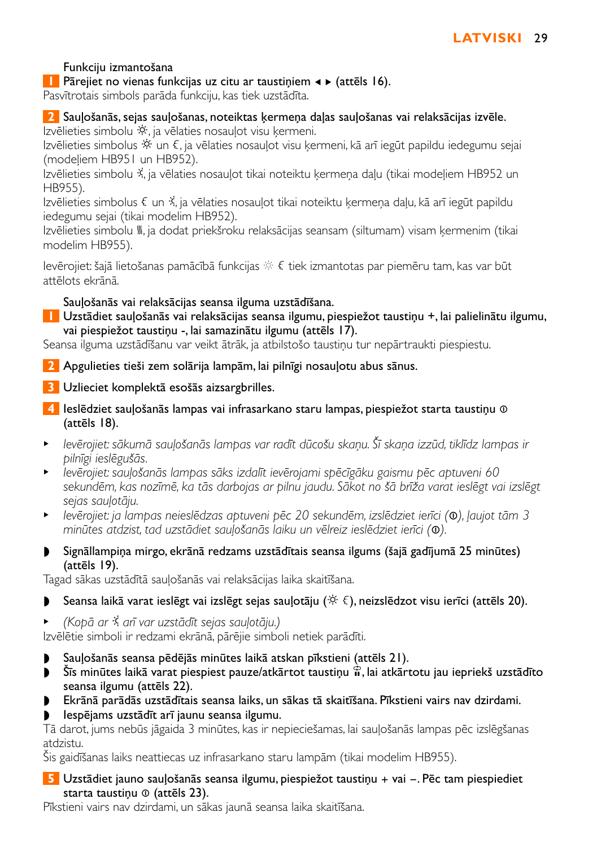# Funkciju izmantošana

**1** Pārejiet no vienas funkcijas uz citu ar taustiniem < ► (attēls 16).

Pasvītrotais simbols parāda funkciju, kas tiek uzstādīta.

# **2** Sauļošanās, sejas sauļošanas, noteiktas ķermeņa daļas sauļošanas vai relaksācijas izvēle.

Izvēlieties simbolu »; ja vēlaties nosauļot visu ķermeni.

Izvēlieties simbolus ※ un €, ja vēlaties nosaulot visu kermeni, kā arī iegūt papildu iedegumu sejai (modeļiem HB951 un HB952).

Izvēlieties simbolu º, ja vēlaties nosauļot tikai noteiktu ķermeņa daļu (tikai modeļiem HB952 un HB955).

Izvēlieties simbolus ª un º, ja vēlaties nosauļot tikai noteiktu ķermeņa daļu, kā arī iegūt papildu iedegumu sejai (tikai modelim HB952).

Izvēlieties simbolu <sup>W</sup>. ja dodat priekšroku relaksācijas seansam (siltumam) visam ķermenim (tikai modelim HB955).

levērojiet: šajā lietošanas pamācībā funkcijas  $\hat{\gg} \; \xi$  tiek izmantotas par piemēru tam, kas var būt attēlots ekrānā.

## Sauļošanās vai relaksācijas seansa ilguma uzstādīšana.

**1** Uzstādiet sauļošanās vai relaksācijas seansa ilgumu, piespiežot taustiņu +, lai palielinātu ilgumu, vai piespiežot taustiņu -, lai samazinātu ilgumu (attēls 17).

Seansa ilguma uzstādīšanu var veikt ātrāk, ja atbilstošo taustiņu tur nepārtraukti piespiestu.

**2** Apgulieties tieši zem solārija lampām, lai pilnīgi nosauļotu abus sānus.

- **3** Uzlieciet komplektā esošās aizsargbrilles.
- **4** Ieslēdziet sauļošanās lampas vai infrasarkano staru lampas, piespiežot starta taustiņu ∞ (attēls 18).
- <sup>B</sup> *Ievērojiet: sākumā sauļošanās lampas var radīt dūcošu skaņu. Šī skaņa izzūd, tiklīdz lampas ir pilnīgi ieslēgušās.*
- <sup>B</sup> *Ievērojiet: sauļošanās lampas sāks izdalīt ievērojami spēcīgāku gaismu pēc aptuveni 60 sekundēm, kas nozīmē, ka tās darbojas ar pilnu jaudu. Sākot no šā brīža varat ieslēgt vai izslēgt sejas sauļotāju.*
- <sup>B</sup> *Ievērojiet: ja lampas neieslēdzas aptuveni pēc 20 sekundēm, izslēdziet ierīci (*∞*), ļaujot tām 3 minūtes atdzist, tad uzstādiet sauļošanās laiku un vēlreiz ieslēdziet ierīci (*∞*).*
- ◗ Signāllampiņa mirgo, ekrānā redzams uzstādītais seansa ilgums (šajā gadījumā 25 minūtes) (attēls 19).

Tagad sākas uzstādītā sauļošanās vai relaksācijas laika skaitīšana.

- Seansa laikā varat ieslēgt vai izslēgt sejas sauļotāju ( $\mathcal{F} \in \mathcal{F}$ ), neizslēdzot visu ierīci (attēls 20).
- <sup>B</sup> *(Kopā ar* º *arī var uzstādīt sejas sauļotāju.)*

Izvēlētie simboli ir redzami ekrānā, pārējie simboli netiek parādīti.

- ◗ Sauļošanās seansa pēdējās minūtes laikā atskan pīkstieni (attēls 21).
- $\bullet$  Šīs minūtes laikā varat piespiest pauze/atkārtot taustiņu  $\hat{\mathfrak{n}}$ , lai atkārtotu jau iepriekš uzstādīto seansa ilgumu (attēls 22).
- ◗ Ekrānā parādās uzstādītais seansa laiks, un sākas tā skaitīšana. Pīkstieni vairs nav dzirdami.
- ◗ Iespējams uzstādīt arī jaunu seansa ilgumu.

Tā darot, jums nebūs jāgaida 3 minūtes, kas ir nepieciešamas, lai sauļošanās lampas pēc izslēgšanas atdzistu.

Šis gaidīšanas laiks neattiecas uz infrasarkano staru lampām (tikai modelim HB955).

### **5** Uzstādiet jauno sauļošanās seansa ilgumu, piespiežot taustiņu + vai -. Pēc tam piespiediet starta taustiņu ® (attēls 23).

Pīkstieni vairs nav dzirdami, un sākas jaunā seansa laika skaitīšana.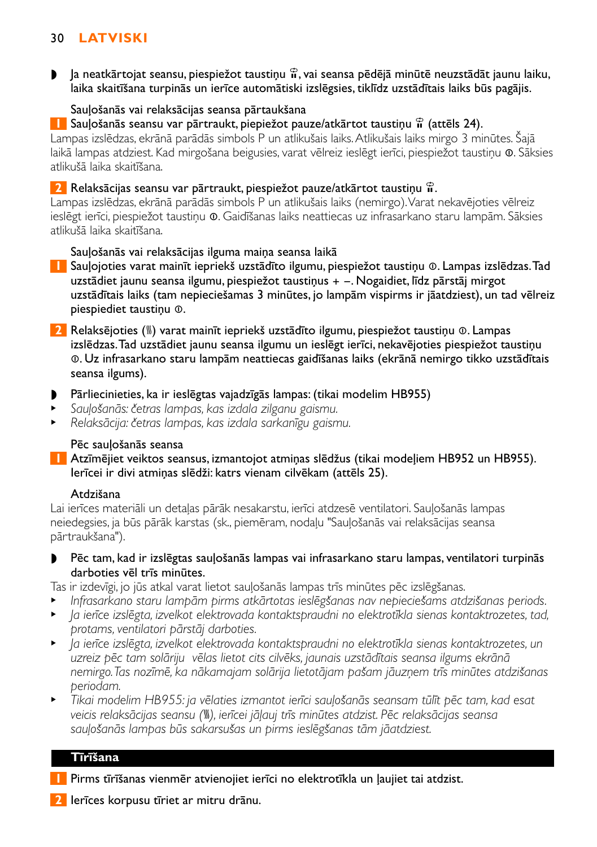# 30 **LATVISKI**

 $\bullet$  Ja neatkārtojat seansu, piespiežot taustiņu  $\mathbb{R}$ , vai seansa pēdējā minūtē neuzstādāt jaunu laiku, laika skaitīšana turpinās un ierīce automātiski izslēgsies, tiklīdz uzstādītais laiks būs pagājis.

### Sauļošanās vai relaksācijas seansa pārtaukšana

**1** Sauļošanās seansu var pārtraukt, piepiežot pauze/atkārtot taustiņu  $\hat{\mathbf{r}}$  (attēls 24).

Lampas izslēdzas, ekrānā parādās simbols P un atlikušais laiks.Atlikušais laiks mirgo 3 minūtes. Šajā laikā lampas atdziest. Kad mirgošana beigusies, varat vēlreiz ieslēgt ierīci, piespiežot taustiņu ∞. Sāksies atlikušā laika skaitīšana.

### **2** Relaksācijas seansu var pārtraukt, piespiežot pauze/atkārtot taustiņu  $\hat{\mathbf{r}}$ .

Lampas izslēdzas, ekrānā parādās simbols P un atlikušais laiks (nemirgo).Varat nekavējoties vēlreiz ieslēgt ierīci, piespiežot taustiņu ∞. Gaidīšanas laiks neattiecas uz infrasarkano staru lampām. Sāksies atlikušā laika skaitīšana.

### Sauļošanās vai relaksācijas ilguma maiņa seansa laikā

- **1** Sauļojoties varat mainīt iepriekš uzstādīto ilgumu, piespiežot taustiņu ∞. Lampas izslēdzas.Tad uzstādiet jaunu seansa ilgumu, piespiežot taustiņus + -. Nogaidiet, līdz pārstāj mirgot uzstādītais laiks (tam nepieciešamas 3 minūtes, jo lampām vispirms ir jāatdziest), un tad vēlreiz piespiediet taustiņu ∞.
- **2** Relaksējoties (–) varat mainīt iepriekš uzstādīto ilgumu, piespiežot taustiņu ∞. Lampas izslēdzas.Tad uzstādiet jaunu seansa ilgumu un ieslēgt ierīci, nekavējoties piespiežot taustiņu ∞. Uz infrasarkano staru lampām neattiecas gaidīšanas laiks (ekrānā nemirgo tikko uzstādītais seansa ilgums).
- ◗ Pārliecinieties, ka ir ieslēgtas vajadzīgās lampas: (tikai modelim HB955)
- <sup>B</sup> *Sauļošanās: četras lampas, kas izdala zilganu gaismu.*
- <sup>B</sup> *Relaksācija: četras lampas, kas izdala sarkanīgu gaismu.*

### Pēc sauļošanās seansa

**1** Atzīmējiet veiktos seansus, izmantojot atmiņas slēdžus (tikai modeļiem HB952 un HB955). Ierīcei ir divi atmiņas slēdži: katrs vienam cilvēkam (attēls 25).

### Atdzišana

Lai ierīces materiāli un detaļas pārāk nesakarstu, ierīci atdzesē ventilatori. Sauļošanās lampas neiedegsies, ja būs pārāk karstas (sk., piemēram, nodaļu "Sauļošanās vai relaksācijas seansa pārtraukšana").

◗ Pēc tam, kad ir izslēgtas sauļošanās lampas vai infrasarkano staru lampas, ventilatori turpinās darboties vēl trīs minūtes.

Tas ir izdevīgi, jo jūs atkal varat lietot sauļošanās lampas trīs minūtes pēc izslēgšanas.

- <sup>B</sup> *Infrasarkano staru lampām pirms atkārtotas ieslēgšanas nav nepieciešams atdzišanas periods.*
- <sup>B</sup> *Ja ierīce izslēgta, izvelkot elektrovada kontaktspraudni no elektrotīkla sienas kontaktrozetes, tad, protams, ventilatori pārstāj darboties.*
- <sup>B</sup> *Ja ierīce izslēgta, izvelkot elektrovada kontaktspraudni no elektrotīkla sienas kontaktrozetes, un uzreiz pēc tam solāriju vēlas lietot cits cilvēks, jaunais uzstādītais seansa ilgums ekrānā nemirgo.Tas nozīmē, ka nākamajam solārija lietotājam pašam jāuzņem trīs minūtes atdzišanas periodam.*
- <sup>B</sup> *Tikai modelim HB955: ja vēlaties izmantot ierīci sauļošanās seansam tūlīt pēc tam, kad esat veicis relaksācijas seansu (*–*), ierīcei jāļauj trīs minūtes atdzist. Pēc relaksācijas seansa sauļošanās lampas būs sakarsušas un pirms ieslēgšanas tām jāatdziest.*

### **Tīrīšana**

- **1** Pirms tīrīšanas vienmēr atvienojiet ierīci no elektrotīkla un ļaujiet tai atdzist.
- **2** Ierīces korpusu tīriet ar mitru drānu.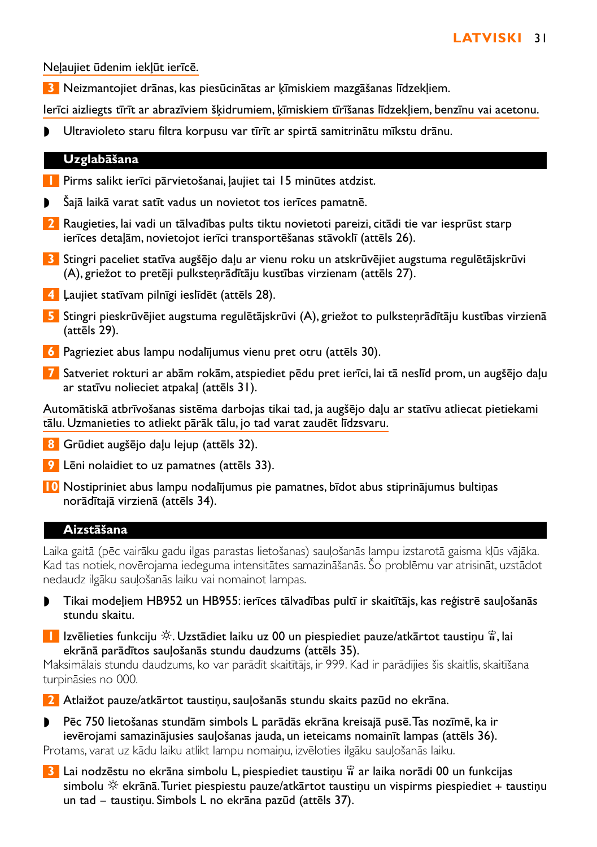Neļaujiet ūdenim iekļūt ierīcē.

**3** Neizmantojiet drānas, kas piesūcinātas ar ķīmiskiem mazgāšanas līdzekļiem.

Ierīci aizliegts tīrīt ar abrazīviem šķidrumiem, ķīmiskiem tīrīšanas līdzekļiem, benzīnu vai acetonu.

◗ Ultravioleto staru filtra korpusu var tīrīt ar spirtā samitrinātu mīkstu drānu.

#### **Uzglabāšana**

- **1** Pirms salikt ierīci pārvietošanai, ļaujiet tai 15 minūtes atdzist.
- Šajā laikā varat satīt vadus un novietot tos ierīces pamatnē.
- **2** Raugieties, lai vadi un tālvadības pults tiktu novietoti pareizi, citādi tie var iesprūst starp ierīces detaļām, novietojot ierīci transportēšanas stāvoklī (attēls 26).
- **3** Stingri paceliet statīva augšējo daļu ar vienu roku un atskrūvējiet augstuma regulētājskrūvi (A), griežot to pretēji pulksteņrādītāju kustības virzienam (attēls 27).
- **4** Ļaujiet statīvam pilnīgi ieslīdēt (attēls 28).
- **5** Stingri pieskrūvējiet augstuma regulētājskrūvi (A), griežot to pulksteņrādītāju kustības virzienā (attēls 29).
- **6** Pagrieziet abus lampu nodalījumus vienu pret otru (attēls 30).
- **7** Satveriet rokturi ar abām rokām, atspiediet pēdu pret ierīci, lai tā neslīd prom, un augšējo daļu ar statīvu nolieciet atpakaļ (attēls 31).

Automātiskā atbrīvošanas sistēma darbojas tikai tad, ja augšējo daļu ar statīvu atliecat pietiekami tālu. Uzmanieties to atliekt pārāk tālu, jo tad varat zaudēt līdzsvaru.

**8** Grūdiet augšējo daļu lejup (attēls 32).

- **9** Lēni nolaidiet to uz pamatnes (attēls 33).
- **10** Nostipriniet abus lampu nodalījumus pie pamatnes, bīdot abus stiprinājumus bultiņas norādītajā virzienā (attēls 34).

# **Aizstāšana**

Laika gaitā (pēc vairāku gadu ilgas parastas lietošanas) sauļošanās lampu izstarotā gaisma kļūs vājāka. Kad tas notiek, novērojama iedeguma intensitātes samazināšanās. Šo problēmu var atrisināt, uzstādot nedaudz ilgāku sauļošanās laiku vai nomainot lampas.

- ◗ Tikai modeļiem HB952 un HB955: ierīces tālvadības pultī ir skaitītājs, kas reģistrē sauļošanās stundu skaitu.
- **1** Izvēlieties funkciju  $\hat{\varphi}$ . Uzstādiet laiku uz 00 un piespiediet pauze/atkārtot taustiņu  $\hat{\mathbf{u}}$ , lai ekrānā parādītos sauļošanās stundu daudzums (attēls 35).

Maksimālais stundu daudzums, ko var parādīt skaitītājs, ir 999. Kad ir parādījies šis skaitlis, skaitīšana turpināsies no 000.

**2** Atlaižot pauze/atkārtot taustiņu, sauļošanās stundu skaits pazūd no ekrāna.

- ◗ Pēc 750 lietošanas stundām simbols L parādās ekrāna kreisajā pusē.Tas nozīmē, ka ir ievērojami samazinājusies sauļošanas jauda, un ieteicams nomainīt lampas (attēls 36). Protams, varat uz kādu laiku atlikt lampu nomaiņu, izvēloties ilgāku sauļošanās laiku.
- **3** Lai nodzēstu no ekrāna simbolu L, piespiediet taustiņu  $\hat{\mathbf{r}}$  ar laika norādi 00 un funkcijas simbolu  $\breve{\gg}$  ekrānā. Turiet piespiestu pauze/atkārtot taustiņu un vispirms piespiediet + taustiņu un tad - taustiņu. Simbols L no ekrāna pazūd (attēls 37).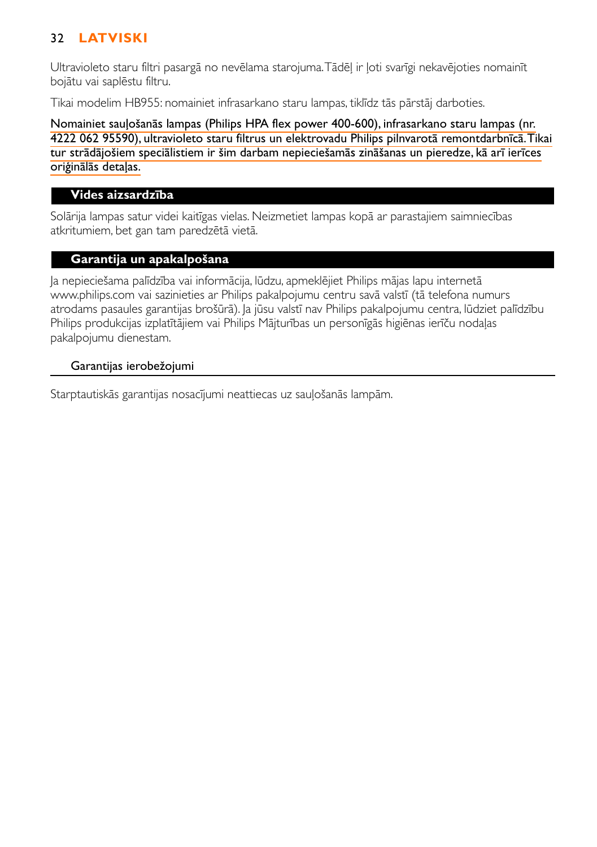# 32 **LATVISKI**

Ultravioleto staru filtri pasargā no nevēlama starojuma.Tādēļ ir ļoti svarīgi nekavējoties nomainīt bojātu vai saplēstu filtru.

Tikai modelim HB955: nomainiet infrasarkano staru lampas, tiklīdz tās pārstāj darboties.

Nomainiet sauļošanās lampas (Philips HPA flex power 400-600), infrasarkano staru lampas (nr. 4222 062 95590), ultravioleto staru filtrus un elektrovadu Philips pilnvarotā remontdarbnīcā.Tikai tur strādājošiem speciālistiem ir šim darbam nepieciešamās zināšanas un pieredze, kā arī ierīces oriģinālās detaļas.

### **Vides aizsardzība**

Solārija lampas satur videi kaitīgas vielas. Neizmetiet lampas kopā ar parastajiem saimniecības atkritumiem, bet gan tam paredzētā vietā.

### **Garantija un apakalpošana**

Ja nepieciešama palīdzība vai informācija, lūdzu, apmeklējiet Philips mājas lapu internetā www.philips.com vai sazinieties ar Philips pakalpojumu centru savā valstī (tā telefona numurs atrodams pasaules garantijas brošūrā). Ja jūsu valstī nav Philips pakalpojumu centra, lūdziet palīdzību Philips produkcijas izplatītājiem vai Philips Mājturības un personīgās higiēnas ierīču nodaļas pakalpojumu dienestam.

### Garantijas ierobežojumi

Starptautiskās garantijas nosacījumi neattiecas uz sauļošanās lampām.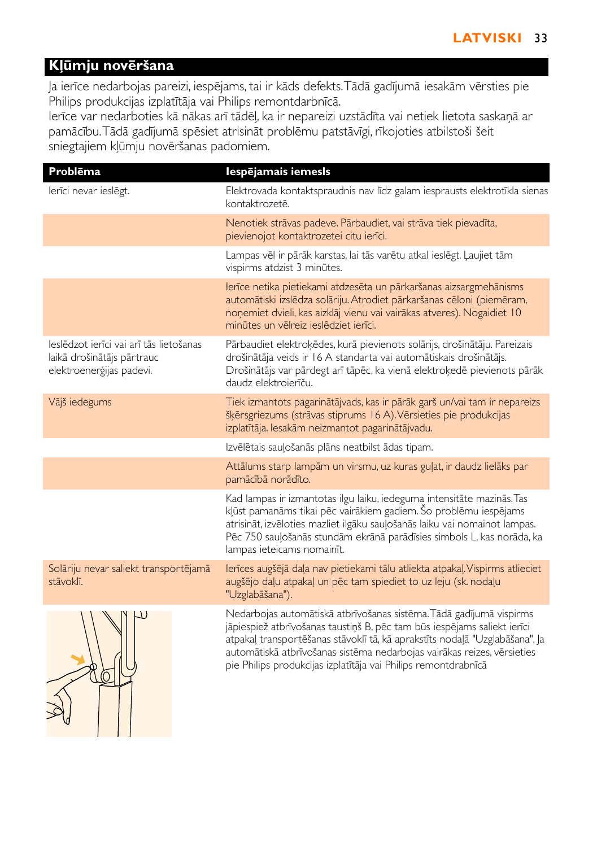# **Kļūmju novēršana**

Ja ierīce nedarbojas pareizi, iespējams, tai ir kāds defekts.Tādā gadījumā iesakām vērsties pie Philips produkcijas izplatītāja vai Philips remontdarbnīcā.

Ierīce var nedarboties kā nākas arī tādēļ, ka ir nepareizi uzstādīta vai netiek lietota saskaņā ar pamācību.Tādā gadījumā spēsiet atrisināt problēmu patstāvīgi, rīkojoties atbilstoši šeit sniegtajiem kļūmju novēršanas padomiem.

| Problēma                                                                                          | Iespējamais iemesls                                                                                                                                                                                                                                                                                                                                                         |
|---------------------------------------------------------------------------------------------------|-----------------------------------------------------------------------------------------------------------------------------------------------------------------------------------------------------------------------------------------------------------------------------------------------------------------------------------------------------------------------------|
| lerīci nevar ieslēgt.                                                                             | Elektrovada kontaktspraudnis nav līdz galam iesprausts elektrotīkla sienas<br>kontaktrozetē.                                                                                                                                                                                                                                                                                |
|                                                                                                   | Nenotiek strāvas padeve. Pārbaudiet, vai strāva tiek pievadīta,<br>pievienojot kontaktrozetei citu ierīci.                                                                                                                                                                                                                                                                  |
|                                                                                                   | Lampas vēl ir pārāk karstas, lai tās varētu atkal ieslēgt. Ļaujiet tām<br>vispirms atdzist 3 minūtes.                                                                                                                                                                                                                                                                       |
|                                                                                                   | lerīce netika pietiekami atdzesēta un pārkaršanas aizsargmehānisms<br>automātiski izslēdza solāriju. Atrodiet pārkaršanas cēloni (piemēram,<br>noņemiet dvieli, kas aizklāj vienu vai vairākas atveres). Nogaidiet 10<br>minūtes un vēlreiz ieslēdziet ierīci.                                                                                                              |
| leslēdzot ierīci vai arī tās lietošanas<br>laikā drošinātājs pārtrauc<br>elektroenerģijas padevi. | Pārbaudiet elektroķēdes, kurā pievienots solārijs, drošinātāju. Pareizais<br>drošinātāja veids ir 16 A standarta vai automātiskais drošinātājs.<br>Drošinātājs var pārdegt arī tāpēc, ka vienā elektroķedē pievienots pārāk<br>daudz elektroierīču.                                                                                                                         |
| Vājš iedegums                                                                                     | Tiek izmantots pagarinātājvads, kas ir pārāk garš un/vai tam ir nepareizs<br>šķērsgriezums (strāvas stiprums 16 A). Vērsieties pie produkcijas<br>izplatītāja. Iesakām neizmantot pagarinātājvadu.                                                                                                                                                                          |
|                                                                                                   | Izvēlētais sauļošanās plāns neatbilst ādas tipam.                                                                                                                                                                                                                                                                                                                           |
|                                                                                                   | Attālums starp lampām un virsmu, uz kuras guļat, ir daudz lielāks par<br>pamācībā norādīto.                                                                                                                                                                                                                                                                                 |
|                                                                                                   | Kad lampas ir izmantotas ilgu laiku, iedeguma intensitāte mazinās. Tas<br>kļūst pamanāms tikai pēc vairākiem gadiem. Šo problēmu iespējams<br>atrisināt, izvēloties mazliet ilgāku sauļošanās laiku vai nomainot lampas.<br>Pēc 750 sauļošanās stundām ekrānā parādīsies simbols L, kas norāda, ka<br>lampas ieteicams nomainīt.                                            |
| Solāriju nevar saliekt transportējamā<br>stāvoklī.                                                | lerīces augšējā daļa nav pietiekami tālu atliekta atpakaļ. Vispirms atlieciet<br>augšējo daļu atpakaļ un pēc tam spiediet to uz leju (sk. nodaļu<br>"Uzglabāšana").                                                                                                                                                                                                         |
|                                                                                                   | Nedarbojas automātiskā atbrīvošanas sistēma. Tādā gadījumā vispirms<br>jāpiespiež atbrīvošanas taustiņš B, pēc tam būs iespējams saliekt ierīci<br>atpakaļ transportēšanas stāvoklī tā, kā aprakstīts nodaļā "Uzglabāšana". Ja<br>automātiskā atbrīvošanas sistēma nedarbojas vairākas reizes, vērsieties<br>pie Philips produkcijas izplatītāja vai Philips remontdrabnīcā |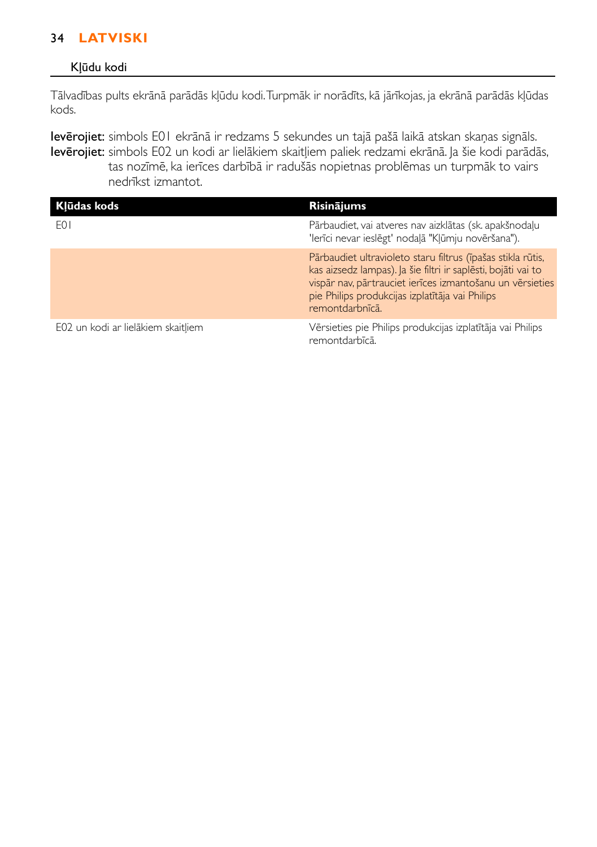# 34 **LATVISKI**

### Kļūdu kodi

Tālvadības pults ekrānā parādās kļūdu kodi.Turpmāk ir norādīts, kā jārīkojas, ja ekrānā parādās kļūdas kods.

Ievērojiet: simbols E01 ekrānā ir redzams 5 sekundes un tajā pašā laikā atskan skaņas signāls. Ievērojiet: simbols E02 un kodi ar lielākiem skaitļiem paliek redzami ekrānā. Ja šie kodi parādās, tas nozīmē, ka ierīces darbībā ir radušās nopietnas problēmas un turpmāk to vairs nedrīkst izmantot.

| Klūdas kods                        | <b>Risinājums</b>                                                                                                                                                                                                                                               |
|------------------------------------|-----------------------------------------------------------------------------------------------------------------------------------------------------------------------------------------------------------------------------------------------------------------|
| F <sub>0</sub>                     | Pārbaudiet, vai atveres nav aizklātas (sk. apakšnodaļu<br>'lerīci nevar ieslēgt' nodalā "Klūmju novēršana").                                                                                                                                                    |
|                                    | Pārbaudiet ultravioleto staru filtrus (īpašas stikla rūtis,<br>kas aizsedz lampas). Ja šie filtri ir saplēsti, bojāti vai to<br>vispār nav, pārtrauciet ierīces izmantošanu un vērsieties<br>pie Philips produkcijas izplatītāja vai Philips<br>remontdarbnīcā. |
| E02 un kodi ar lielākiem skaitliem | Vērsieties pie Philips produkcijas izplatītāja vai Philips<br>remontdarbīcā.                                                                                                                                                                                    |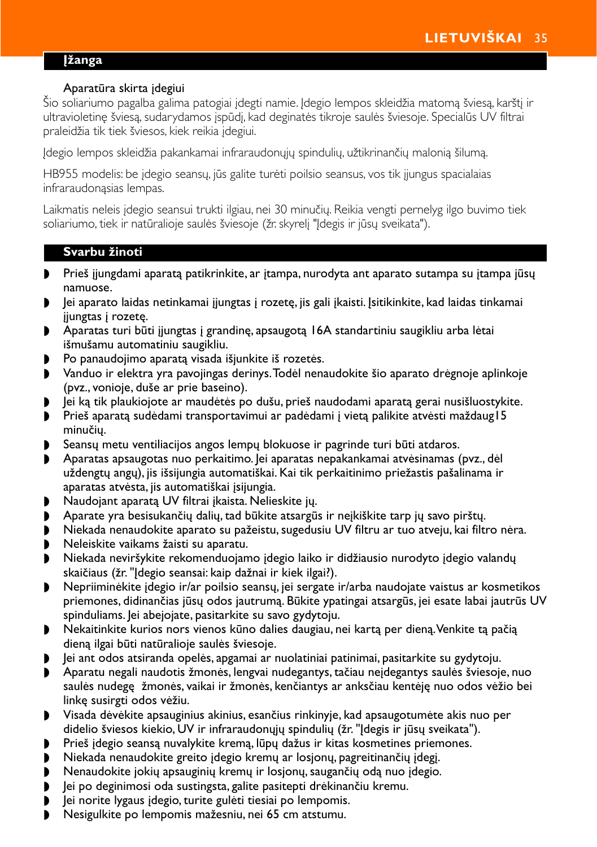### <span id="page-30-0"></span>**Įžanga**

## Aparatūra skirta įdegiui

Šio soliariumo pagalba galima patogiai įdegti namie. Įdegio lempos skleidžia matomą šviesą, karštį ir ultravioletinę šviesą, sudarydamos įspūdį, kad deginatės tikroje saulės šviesoje. Specialūs UV filtrai praleidžia tik tiek šviesos, kiek reikia įdegiui.

Įdegio lempos skleidžia pakankamai infraraudonųjų spindulių, užtikrinančių malonią šilumą.

HB955 modelis: be įdegio seansų, jūs galite turėti poilsio seansus, vos tik įjungus spacialaias infraraudonąsias lempas.

Laikmatis neleis įdegio seansui trukti ilgiau, nei 30 minučių. Reikia vengti pernelyg ilgo buvimo tiek soliariumo, tiek ir natūralioje saulės šviesoje (žr. skyrelį "Įdegis ir jūsų sveikata").

### **Svarbu žinoti**

- ◗ Prieš įjungdami aparatą patikrinkite, ar įtampa, nurodyta ant aparato sutampa su įtampa jūsų namuose.
- ◗ Jei aparato laidas netinkamai įjungtas į rozetę, jis gali įkaisti. Įsitikinkite, kad laidas tinkamai įjungtas į rozetę.
- ◗ Aparatas turi būti įjungtas į grandinę, apsaugotą 16A standartiniu saugikliu arba lėtai išmušamu automatiniu saugikliu.
- ◗ Po panaudojimo aparatą visada išjunkite iš rozetės.
- ◗ Vanduo ir elektra yra pavojingas derinys.Todėl nenaudokite šio aparato drėgnoje aplinkoje (pvz., vonioje, duše ar prie baseino).
- ◗ Jei ką tik plaukiojote ar maudėtės po dušu, prieš naudodami aparatą gerai nusišluostykite.
- ◗ Prieš aparatą sudėdami transportavimui ar padėdami į vietą palikite atvėsti maždaug15 minučių.
- ◗ Seansų metu ventiliacijos angos lempų blokuose ir pagrinde turi būti atdaros.
- ◗ Aparatas apsaugotas nuo perkaitimo. Jei aparatas nepakankamai atvėsinamas (pvz., dėl uždengtų angų), jis išsijungia automatiškai. Kai tik perkaitinimo priežastis pašalinama ir aparatas atvėsta, jis automatiškai įsijungia.
- ◗ Naudojant aparatą UV filtrai įkaista. Nelieskite jų.
- ◗ Aparate yra besisukančių dalių, tad būkite atsargūs ir neįkiškite tarp jų savo pirštų.
- ◗ Niekada nenaudokite aparato su pažeistu, sugedusiu UV filtru ar tuo atveju, kai filtro nėra.
- ◗ Neleiskite vaikams žaisti su aparatu.
- ◗ Niekada neviršykite rekomenduojamo įdegio laiko ir didžiausio nurodyto įdegio valandų skaičiaus (žr. "Įdegio seansai: kaip dažnai ir kiek ilgai?).
- ◗ Nepriiminėkite įdegio ir/ar poilsio seansų, jei sergate ir/arba naudojate vaistus ar kosmetikos priemones, didinančias jūsų odos jautrumą. Būkite ypatingai atsargūs, jei esate labai jautrūs UV spinduliams. Jei abejojate, pasitarkite su savo gydytoju.
- ◗ Nekaitinkite kurios nors vienos kūno dalies daugiau, nei kartą per dieną.Venkite tą pačią dieną ilgai būti natūralioje saulės šviesoje.
- ◗ Jei ant odos atsiranda opelės, apgamai ar nuolatiniai patinimai, pasitarkite su gydytoju.
- ◗ Aparatu negali naudotis žmonės, lengvai nudegantys, tačiau neįdegantys saulės šviesoje, nuo saulės nudegę žmonės, vaikai ir žmonės, kenčiantys ar anksčiau kentėję nuo odos vėžio bei linkę susirgti odos vėžiu.
- ◗ Visada dėvėkite apsauginius akinius, esančius rinkinyje, kad apsaugotumėte akis nuo per didelio šviesos kiekio, UV ir infraraudonųjų spindulių (žr. "Įdegis ir jūsų sveikata").
- ◗ Prieš įdegio seansą nuvalykite kremą, lūpų dažus ir kitas kosmetines priemones.
- ◗ Niekada nenaudokite greito įdegio kremų ar losjonų, pagreitinančių įdegį.
- ◗ Nenaudokite jokių apsauginių kremų ir losjonų, saugančių odą nuo įdegio.
- ◗ Jei po deginimosi oda sustingsta, galite pasitepti drėkinančiu kremu.
- ◗ Jei norite lygaus įdegio, turite gulėti tiesiai po lempomis.
- ◗ Nesigulkite po lempomis mažesniu, nei 65 cm atstumu.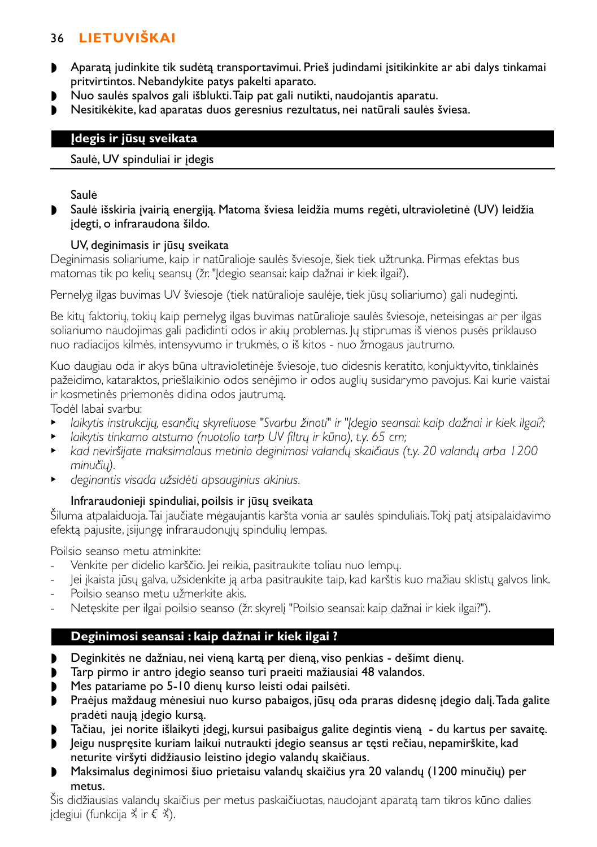- ◗ Aparatą judinkite tik sudėtą transportavimui. Prieš judindami įsitikinkite ar abi dalys tinkamai pritvirtintos. Nebandykite patys pakelti aparato.
- ◗ Nuo saulės spalvos gali išblukti.Taip pat gali nutikti, naudojantis aparatu.
- ◗ Nesitikėkite, kad aparatas duos geresnius rezultatus, nei natūrali saulės šviesa.

# **Įdegis ir jūsų sveikata**

### Saulė, UV spinduliai ir įdegis

### Saulė

◗ Saulė išskiria įvairią energiją. Matoma šviesa leidžia mums regėti, ultravioletinė (UV) leidžia įdegti, o infraraudona šildo.

### UV, deginimasis ir jūsų sveikata

Deginimasis soliariume, kaip ir natūralioje saulės šviesoje, šiek tiek užtrunka. Pirmas efektas bus matomas tik po kelių seansų (žr. "Įdegio seansai: kaip dažnai ir kiek ilgai?).

Pernelyg ilgas buvimas UV šviesoje (tiek natūralioje saulėje, tiek jūsų soliariumo) gali nudeginti.

Be kitų faktorių, tokių kaip pernelyg ilgas buvimas natūralioje saulės šviesoje, neteisingas ar per ilgas soliariumo naudojimas gali padidinti odos ir akių problemas. Jų stiprumas iš vienos pusės priklauso nuo radiacijos kilmės, intensyvumo ir trukmės, o iš kitos - nuo žmogaus jautrumo.

Kuo daugiau oda ir akys būna ultravioletinėje šviesoje, tuo didesnis keratito, konjuktyvito, tinklainės pažeidimo, kataraktos, priešlaikinio odos senėjimo ir odos auglių susidarymo pavojus. Kai kurie vaistai ir kosmetinės priemonės didina odos jautrumą.

Todėl labai svarbu:

- <sup>B</sup> *laikytis instrukcijų, esančių skyreliuose "Svarbu žinoti" ir "Įdegio seansai: kaip dažnai ir kiek ilgai?;*
- <sup>B</sup> *laikytis tinkamo atstumo (nuotolio tarp UV filtrų ir kūno), t.y. 65 cm;*
- <sup>B</sup> *kad neviršijate maksimalaus metinio deginimosi valandų skaičiaus (t.y. 20 valandų arba 1200 minučių).*
- <sup>B</sup> *deginantis visada užsidėti apsauginius akinius.*

## Infraraudonieji spinduliai, poilsis ir jūsų sveikata

Šiluma atpalaiduoja.Tai jaučiate mėgaujantis karšta vonia ar saulės spinduliais.Tokį patį atsipalaidavimo efektą pajusite, įsijungę infraraudonųjų spindulių lempas.

Poilsio seanso metu atminkite:

- Venkite per didelio karščio. Jei reikia, pasitraukite toliau nuo lempų.
- Jei įkaista jūsų galva, užsidenkite ją arba pasitraukite taip, kad karštis kuo mažiau sklistų galvos link.
- Poilsio seanso metu užmerkite akis.
- Netęskite per ilgai poilsio seanso (žr. skyrelį "Poilsio seansai: kaip dažnai ir kiek ilgai?").

# **Deginimosi seansai : kaip dažnai ir kiek ilgai ?**

- ◗ Deginkitės ne dažniau, nei vieną kartą per dieną, viso penkias dešimt dienų.
- ◗ Tarp pirmo ir antro įdegio seanso turi praeiti mažiausiai 48 valandos.
- ◗ Mes patariame po 5-10 dienų kurso leisti odai pailsėti.
- ◗ Praėjus maždaug mėnesiui nuo kurso pabaigos, jūsų oda praras didesnę įdegio dalį.Tada galite pradėti naują įdegio kursą.
- ◗ Tačiau, jei norite išlaikyti įdegį, kursui pasibaigus galite degintis vieną du kartus per savaitę.
- ◗ Jeigu nuspręsite kuriam laikui nutraukti įdegio seansus ar tęsti rečiau, nepamirškite, kad neturite viršyti didžiausio leistino įdegio valandų skaičiaus.
- ◗ Maksimalus deginimosi šiuo prietaisu valandų skaičius yra 20 valandų (1200 minučių) per metus.

Šis didžiausias valandų skaičius per metus paskaičiuotas, naudojant aparatą tam tikros kūno dalies  $ideg iui (funkcija \times ir \in \X)$ .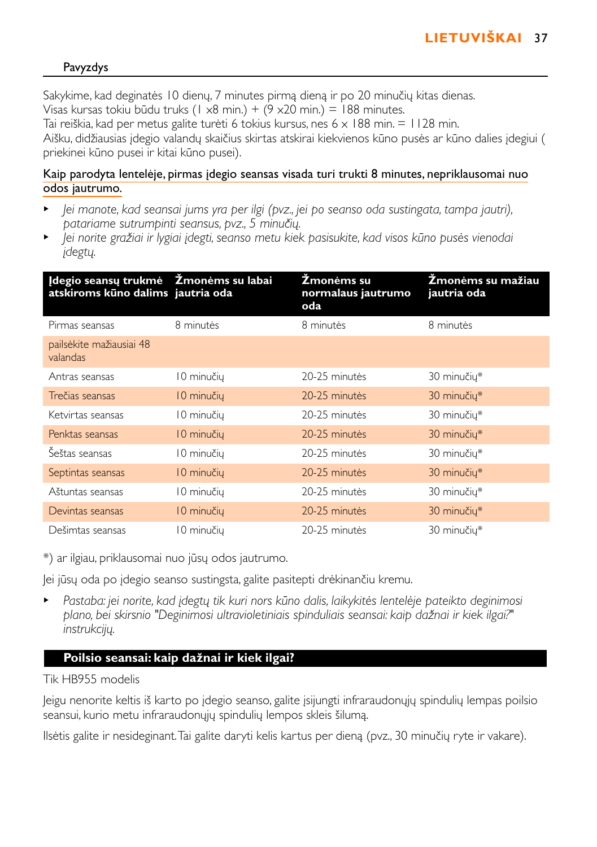# Pavyzdys

Sakykime, kad deginatės 10 dienų, 7 minutes pirmą dieną ir po 20 minučių kitas dienas. Visas kursas tokiu būdu truks (1 x8 min.) +  $(9 \times 20 \text{ min.}) = 188 \text{ minutes.}$ Tai reiškia, kad per metus galite turėti 6 tokius kursus, nes 6  $\times$  188 min. = 1128 min. Aišku, didžiausias įdegio valandų skaičius skirtas atskirai kiekvienos kūno pusės ar kūno dalies įdegiui ( priekinei kūno pusei ir kitai kūno pusei).

### Kaip parodyta lentelėje, pirmas įdegio seansas visada turi trukti 8 minutes, nepriklausomai nuo odos jautrumo.

- <sup>B</sup> *Jei manote, kad seansai jums yra per ilgi (pvz., jei po seanso oda sustingata, tampa jautri), patariame sutrumpinti seansus, pvz., 5 minučių.*
- <sup>B</sup> *Jei norite gražiai ir lygiai įdegti, seanso metu kiek pasisukite, kad visos kūno pusės vienodai įdegtų.*

| Idegio seansų trukmė Žmonėms su labai<br>atskiroms kūno dalims jautria oda |             | Žmonėms su<br>normalaus jautrumo<br>oda | Žmonėms su mažiau<br>jautria oda |
|----------------------------------------------------------------------------|-------------|-----------------------------------------|----------------------------------|
| Pirmas seansas                                                             | 8 minutės   | 8 minutés                               | 8 minutés                        |
| pailsėkite mažiausiai 48<br>valandas                                       |             |                                         |                                  |
| Antras seansas                                                             | 10 minučių  | 20-25 minutes                           | 30 minučiu*                      |
| Trečias seansas                                                            | 10 minučių  | 20-25 minutes                           | 30 minučių*                      |
| Ketvirtas seansas                                                          | 10 minučių  | 20-25 minutes                           | 30 minučiu*                      |
| Penktas seansas                                                            | 10 minučių  | 20-25 minutes                           | 30 minučių*                      |
| Šeštas seansas                                                             | 10 minučių  | 20-25 minutes                           | 30 minučiu*                      |
| Septintas seansas                                                          | 10 minučių  | 20-25 minutes                           | 30 minučių*                      |
| Aštuntas seansas                                                           | 10 minučių  | 20-25 minutes                           | 30 minučiu*                      |
| Devintas seansas                                                           | 10 minučių  | 20-25 minutes                           | 30 minučių*                      |
| Dešimtas seansas                                                           | l 0 minučių | 20-25 minutės                           | 30 minučių*                      |

\*) ar ilgiau, priklausomai nuo jūsų odos jautrumo.

Jei jūsų oda po įdegio seanso sustingsta, galite pasitepti drėkinančiu kremu.

<sup>B</sup> *Pastaba: jei norite, kad įdegtų tik kuri nors kūno dalis, laikykitės lentelėje pateikto deginimosi plano, bei skirsnio "Deginimosi ultravioletiniais spinduliais seansai: kaip dažnai ir kiek ilgai?" instrukcijų.*

# **Poilsio seansai: kaip dažnai ir kiek ilgai?**

Tik HB955 modelis

Jeigu nenorite keltis iš karto po įdegio seanso, galite įsijungti infraraudonųjų spindulių lempas poilsio seansui, kurio metu infraraudonųjų spindulių lempos skleis šilumą.

Ilsėtis galite ir nesideginant.Tai galite daryti kelis kartus per dieną (pvz., 30 minučių ryte ir vakare).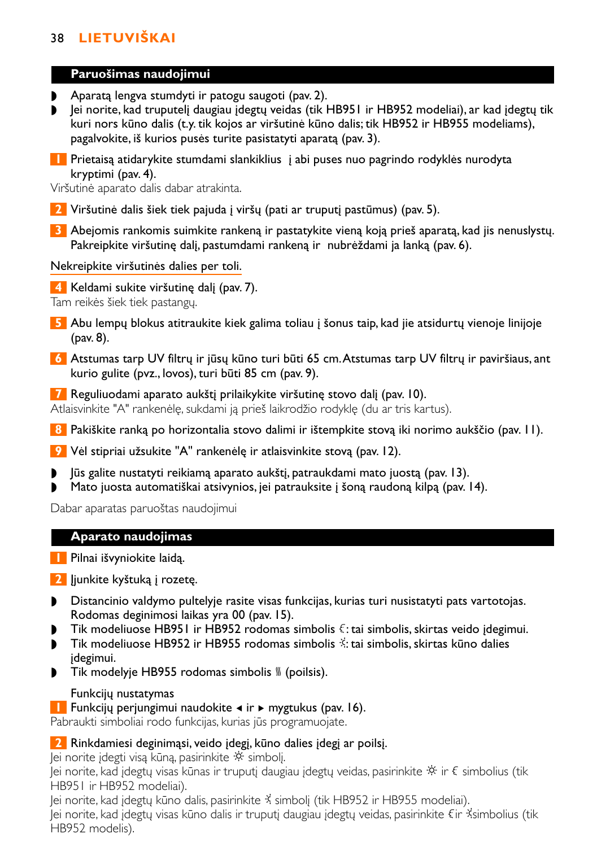## **Paruošimas naudojimui**

- ◗ Aparatą lengva stumdyti ir patogu saugoti (pav. 2).
- ◗ Jei norite, kad truputelį daugiau įdegtų veidas (tik HB951 ir HB952 modeliai), ar kad įdegtų tik kuri nors kūno dalis (t.y. tik kojos ar viršutinė kūno dalis; tik HB952 ir HB955 modeliams), pagalvokite, iš kurios pusės turite pasistatyti aparatą (pav. 3).
- **1** Prietaisą atidarykite stumdami slankiklius į abi puses nuo pagrindo rodyklės nurodyta kryptimi (pav. 4).

Viršutinė aparato dalis dabar atrakinta.

- **2** Viršutinė dalis šiek tiek pajuda į viršų (pati ar truputį pastūmus) (pav. 5).
- **3** Abejomis rankomis suimkite rankeną ir pastatykite vieną koją prieš aparatą, kad jis nenuslystų. Pakreipkite viršutinę dalį, pastumdami rankeną ir nubrėždami ja lanką (pav. 6).

## Nekreipkite viršutinės dalies per toli.

**4** Keldami sukite viršutinę dalį (pav. 7).

Tam reikės šiek tiek pastangų.

- **5** Abu lempų blokus atitraukite kiek galima toliau į šonus taip, kad jie atsidurtų vienoje linijoje (pav. 8).
- **6** Atstumas tarp UV filtrų ir jūsų kūno turi būti 65 cm.Atstumas tarp UV filtrų ir paviršiaus, ant kurio gulite (pvz., lovos), turi būti 85 cm (pav. 9).

**7** Reguliuodami aparato aukštį prilaikykite viršutinę stovo dalį (pav. 10). Atlaisvinkite "A" rankenėlę, sukdami ją prieš laikrodžio rodyklę (du ar tris kartus).

**8** Pakiškite ranką po horizontalia stovo dalimi ir ištempkite stovą iki norimo aukščio (pav. 11).

**9** Vėl stipriai užsukite "A" rankenėlę ir atlaisvinkite stovą (pav. 12).

- ◗ Jūs galite nustatyti reikiamą aparato aukštį, patraukdami mato juostą (pav. 13).
- ◗ Mato juosta automatiškai atsivynios, jei patrauksite į šoną raudoną kilpą (pav. 14).

Dabar aparatas paruoštas naudojimui

## **Aparato naudojimas**

**1** Pilnai išvyniokite laidą.

**2** ljunkite kyštuką į rozetę.

- ◗ Distancinio valdymo pultelyje rasite visas funkcijas, kurias turi nusistatyti pats vartotojas. Rodomas deginimosi laikas yra 00 (pav. 15).
- $\triangleright$  Tik modeliuose HB951 ir HB952 rodomas simbolis  $\xi$ : tai simbolis, skirtas veido įdegimui.
- ◗ Tik modeliuose HB952 ir HB955 rodomas simbolis º: tai simbolis, skirtas kūno dalies įdegimui.
- Tik modelyje HB955 rodomas simbolis <sub>»</sub> (poilsis).

## Funkcijų nustatymas

**1** Funkcijų perjungimui naudokite  $\triangleleft$  ir ► mygtukus (pav. 16).

Pabraukti simboliai rodo funkcijas, kurias jūs programuojate.

## **2** Rinkdamiesi deginimąsi, veido įdegį, kūno dalies įdegį ar poilsį.

Jei norite įdegti visą kūną, pasirinkite » simbolį.

Jei norite, kad įdegtų visas kūnas ir truputį daugiau įdegtų veidas, pasirinkite \* ir € simbolius (tik HB951 ir HB952 modeliai).

Jei norite, kad įdegtų kūno dalis, pasirinkite º simbolį (tik HB952 ir HB955 modeliai). Jei norite, kad įdegtų visas kūno dalis ir truputį daugiau įdegtų veidas, pasirinkite ªir ºsimbolius (tik HB952 modelis).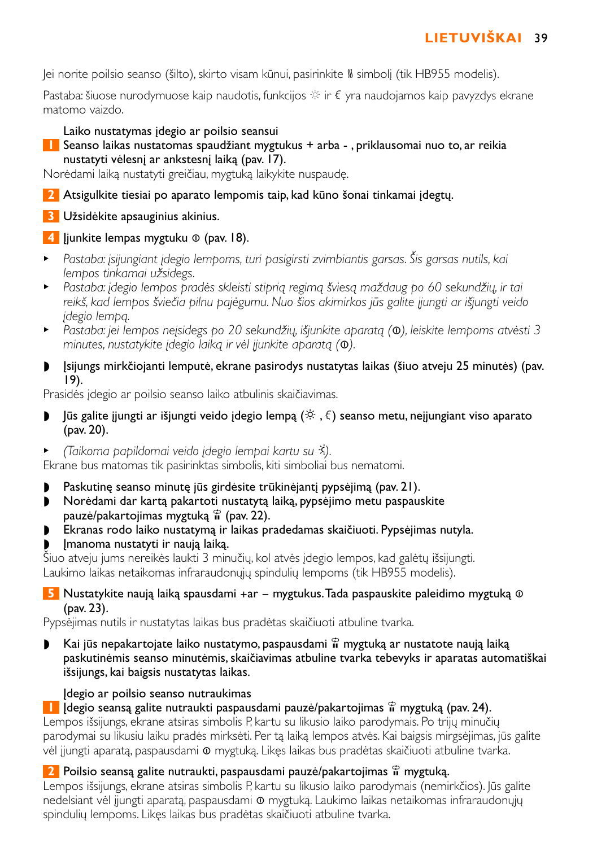lei norite poilsio seanso (šilto), skirto visam kūnui, pasirinkite <sup>W</sup> simboli (tik HB955 modelis).

Pastaba: šiuose nurodymuose kaip naudotis, funkcijos  $\ddot{\otimes}$  ir  $\epsilon$  yra naudojamos kaip pavyzdys ekrane. matomo vaizdo.

# Laiko nustatymas įdegio ar poilsio seansui

**1** Seanso laikas nustatomas spaudžiant mygtukus + arba - , priklausomai nuo to, ar reikia nustatyti vėlesnį ar ankstesnį laiką (pav. 17).

Norėdami laiką nustatyti greičiau, mygtuką laikykite nuspaudę.

- **2** Atsigulkite tiesiai po aparato lempomis taip, kad kūno šonai tinkamai įdegtų.
- **3** Užsidėkite apsauginius akinius.

# **4** Jiunkite lempas mygtuku **◎** (pav. 18).

- <sup>B</sup> *Pastaba: įsijungiant įdegio lempoms, turi pasigirsti zvimbiantis garsas. Šis garsas nutils, kai lempos tinkamai užsidegs.*
- <sup>B</sup> *Pastaba: įdegio lempos pradės skleisti stiprią regimą šviesą maždaug po 60 sekundžių, ir tai reikš, kad lempos šviečia pilnu pajėgumu. Nuo šios akimirkos jūs galite įjungti ar išjungti veido įdegio lempą.*
- <sup>B</sup> *Pastaba: jei lempos neįsidegs po 20 sekundžių, išjunkite aparatą (*∞*), leiskite lempoms atvėsti 3 minutes, nustatykite įdegio laiką ir vėl įjunkite aparatą (*∞*).*
- ◗ Įsijungs mirkčiojanti lemputė, ekrane pasirodys nustatytas laikas (šiuo atveju 25 minutės) (pav. 19).

Prasidės įdegio ar poilsio seanso laiko atbulinis skaičiavimas.

- **▶** Jūs galite jjungti ar išjungti veido jdegio lempą (※,  $\xi$ ) seanso metu, nejjungiant viso aparato (pav. 20).
- <sup>B</sup> *(Taikoma papildomai veido įdegio lempai kartu su* º*).*

Ekrane bus matomas tik pasirinktas simbolis, kiti simboliai bus nematomi.

- Paskutinę seanso minutę jūs girdėsite trūkinėjantį pypsėjimą (pav. 21).
- ◗ Norėdami dar kartą pakartoti nustatytą laiką, pypsėjimo metu paspauskite pauzė/pakartojimas mygtuką § (pav. 22).
- ◗ Ekranas rodo laiko nustatymą ir laikas pradedamas skaičiuoti. Pypsėjimas nutyla.
- ◗ Įmanoma nustatyti ir naują laiką.

Šiuo atveju jums nereikės laukti 3 minučių, kol atvės įdegio lempos, kad galėtų išsijungti. Laukimo laikas netaikomas infraraudonųjų spindulių lempoms (tik HB955 modelis).

# **5** Nustatykite naują laiką spausdami +ar – mygtukus. Tada paspauskite paleidimo mygtuką ⊙ (pav. 23).

Pypsėjimas nutils ir nustatytas laikas bus pradėtas skaičiuoti atbuline tvarka.

Kai jūs nepakartojate laiko nustatymo, paspausdami  $\hat{\mathbf{r}}$  mygtuką ar nustatote naują laiką paskutinėmis seanso minutėmis, skaičiavimas atbuline tvarka tebevyks ir aparatas automatiškai išsijungs, kai baigsis nustatytas laikas.

# Įdegio ar poilsio seanso nutraukimas

# **11** Idegio seansą galite nutraukti paspausdami pauzė/pakartojimas  $\hat{\mathbf{r}}$  mygtuką (pav. 24).

Lempos išsijungs, ekrane atsiras simbolis P, kartu su likusio laiko parodymais. Po trijų minučių parodymai su likusiu laiku pradės mirksėti. Per tą laiką lempos atvės. Kai baigsis mirgsėjimas, jūs galite vėl jiungti aparatą, paspausdami ⊙ mygtuką. Likęs laikas bus pradėtas skaičiuoti atbuline tvarka.

# **2** Poilsio seansą galite nutraukti, paspausdami pauzė/pakartojimas ii mygtuką.

Lempos išsijungs, ekrane atsiras simbolis P, kartu su likusio laiko parodymais (nemirkčios). Jūs galite nedelsiant vėl įjungti aparatą, paspausdami ∞ mygtuką. Laukimo laikas netaikomas infraraudonųjų spindulių lempoms. Likęs laikas bus pradėtas skaičiuoti atbuline tvarka.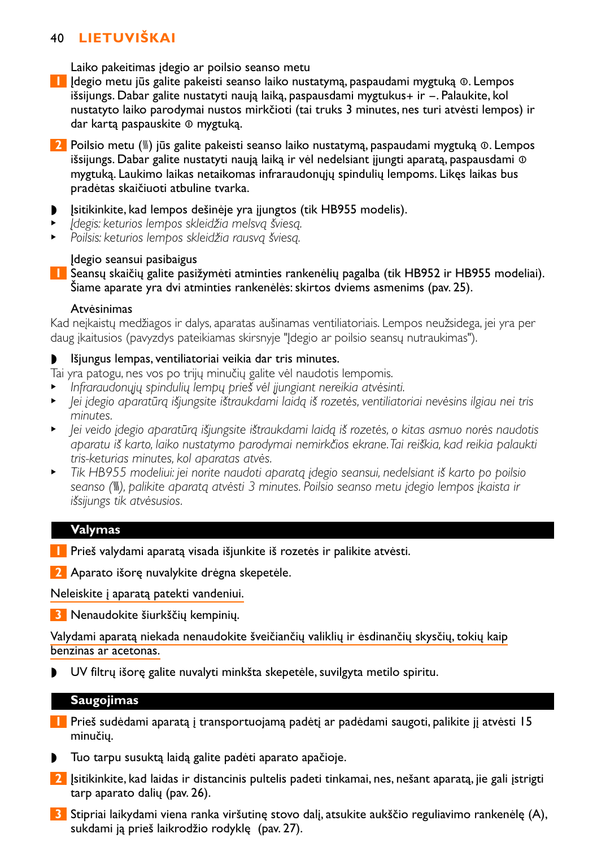Laiko pakeitimas įdegio ar poilsio seanso metu

- **1** Įdegio metu jūs galite pakeisti seanso laiko nustatymą, paspaudami mygtuką ∞. Lempos išsijungs. Dabar galite nustatyti naują laiką, paspausdami mygtukus+ ir -. Palaukite, kol nustatyto laiko parodymai nustos mirkčioti (tai truks 3 minutes, nes turi atvėsti lempos) ir dar kartą paspauskite ∞ mygtuką.
- **2** Poilsio metu (<sup>∭</sup>) jūs galite pakeisti seanso laiko nustatymą, paspaudami mygtuką **©**. Lempos išsijungs. Dabar galite nustatyti naują laiką ir vėl nedelsiant įjungti aparatą, paspausdami ⊙ mygtuką. Laukimo laikas netaikomas infraraudonųjų spindulių lempoms. Likęs laikas bus pradėtas skaičiuoti atbuline tvarka.
- Įsitikinkite, kad lempos dešinėje yra įjungtos (tik HB955 modelis).
- <sup>B</sup> *Įdegis: keturios lempos skleidžia melsvą šviesą.*
- <sup>B</sup> *Poilsis: keturios lempos skleidžia rausvą šviesą.*

### Įdegio seansui pasibaigus

**1** Seansų skaičių galite pasižymėti atminties rankenėlių pagalba (tik HB952 ir HB955 modeliai). Šiame aparate yra dvi atminties rankenėlės: skirtos dviems asmenims (pav. 25).

### Atvėsinimas

Kad neįkaistų medžiagos ir dalys, aparatas aušinamas ventiliatoriais. Lempos neužsidega, jei yra per daug įkaitusios (pavyzdys pateikiamas skirsnyje "Įdegio ar poilsio seansų nutraukimas").

## ◗ Išjungus lempas, ventiliatoriai veikia dar tris minutes.

Tai yra patogu, nes vos po trijų minučių galite vėl naudotis lempomis.

- <sup>B</sup> *Infraraudonųjų spindulių lempų prieš vėl įjungiant nereikia atvėsinti.*
- <sup>B</sup> *Jei įdegio aparatūrą išjungsite ištraukdami laidą iš rozetės, ventiliatoriai nevėsins ilgiau nei tris minutes.*
- <sup>B</sup> *Jei veido įdegio aparatūrą išjungsite ištraukdami laidą iš rozetės, o kitas asmuo norės naudotis aparatu iš karto, laiko nustatymo parodymai nemirkčios ekrane.Tai reiškia, kad reikia palaukti tris-keturias minutes, kol aparatas atvės.*
- <sup>B</sup> *Tik HB955 modeliui: jei norite naudoti aparatą įdegio seansui, nedelsiant iš karto po poilsio seanso (*–*), palikite aparatą atvėsti 3 minutes. Poilsio seanso metu įdegio lempos įkaista ir išsijungs tik atvėsusios.*

### **Valymas**

**1** Prieš valydami aparatą visada išjunkite iš rozetės ir palikite atvėsti.

**2** Aparato išorę nuvalykite drėgna skepetėle.

Neleiskite į aparatą patekti vandeniui.

**3** Nenaudokite šiurkščių kempinių.

Valydami aparatą niekada nenaudokite šveičiančių valiklių ir ėsdinančių skysčių, tokių kaip benzinas ar acetonas.

◗ UV filtrų išorę galite nuvalyti minkšta skepetėle, suvilgyta metilo spiritu.

### **Saugojimas**

- **1** Prieš sudėdami aparatą į transportuojamą padėtį ar padėdami saugoti, palikite jį atvėsti 15 minučių.
- ◗ Tuo tarpu susuktą laidą galite padėti aparato apačioje.
- **2** Įsitikinkite, kad laidas ir distancinis pultelis padeti tinkamai, nes, nešant aparatą, jie gali įstrigti tarp aparato dalių (pav. 26).
- **3** Stipriai laikydami viena ranka viršutinę stovo dalį, atsukite aukščio reguliavimo rankenėlę (A), sukdami ją prieš laikrodžio rodyklę (pav. 27).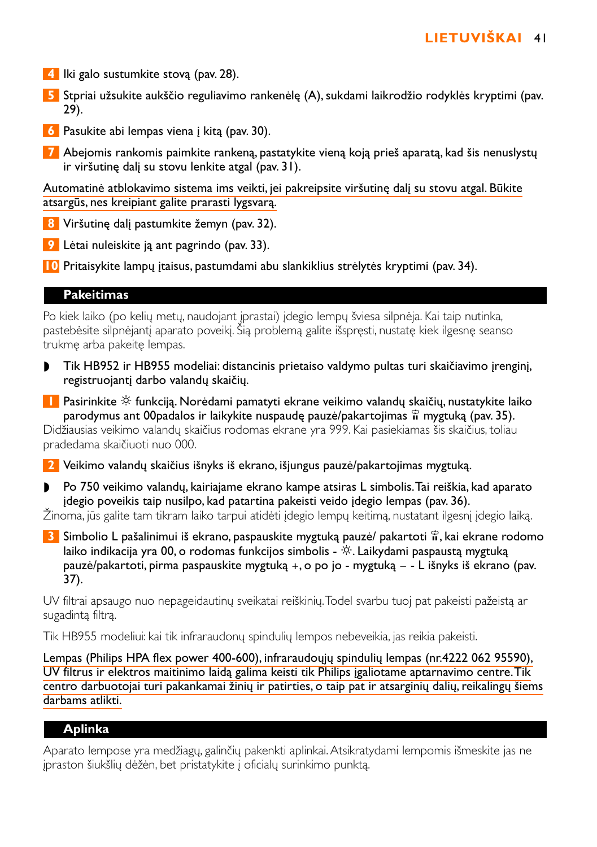- **4** Iki galo sustumkite stovą (pav. 28).
- **5** Stpriai užsukite aukščio reguliavimo rankenėlę (A), sukdami laikrodžio rodyklės kryptimi (pav. 29).
- **6** Pasukite abi lempas viena į kitą (pav. 30).
- **7** Abejomis rankomis paimkite rankeną, pastatykite vieną koją prieš aparatą, kad šis nenuslystų ir viršutinę dalį su stovu lenkite atgal (pav. 31).

Automatinė atblokavimo sistema ims veikti, jei pakreipsite viršutinę dalį su stovu atgal. Būkite atsargūs, nes kreipiant galite prarasti lygsvarą.

**8** Viršutinę dalį pastumkite žemyn (pav. 32).

- **9** Lėtai nuleiskite ją ant pagrindo (pav. 33).
- **10** Pritaisykite lampų įtaisus, pastumdami abu slankiklius strėlytės kryptimi (pav. 34).

### **Pakeitimas**

Po kiek laiko (po kelių metų, naudojant įprastai) įdegio lempų šviesa silpnėja. Kai taip nutinka, pastebėsite silpnėjantį aparato poveikį. Šią problemą galite išspręsti, nustatę kiek ilgesnę seanso trukmę arba pakeitę lempas.

- ◗ Tik HB952 ir HB955 modeliai: distancinis prietaiso valdymo pultas turi skaičiavimo įrenginį, registruojantį darbo valandų skaičių.
- **11** Pasirinkite  $\hat{\mathcal{F}}$  funkciją. Norėdami pamatyti ekrane veikimo valandų skaičių, nustatykite laiko parodymus ant 00padalos ir laikykite nuspaudę pauzė/pakartojimas § mygtuką (pav. 35). Didžiausias veikimo valandų skaičius rodomas ekrane yra 999. Kai pasiekiamas šis skaičius, toliau pradedama skaičiuoti nuo 000.

**2** Veikimo valandų skaičius išnyks iš ekrano, išjungus pauzė/pakartojimas mygtuką.

◗ Po 750 veikimo valandų, kairiajame ekrano kampe atsiras L simbolis.Tai reiškia, kad aparato įdegio poveikis taip nusilpo, kad patartina pakeisti veido įdegio lempas (pav. 36).

Žinoma, jūs galite tam tikram laiko tarpui atidėti įdegio lempų keitimą, nustatant ilgesnį įdegio laiką.

**3** Simbolio L pašalinimui iš ekrano, paspauskite mygtuką pauzė/ pakartoti  $\hat{\mathbf{r}}$ , kai ekrane rodomo laiko indikacija yra 00, o rodomas funkcijos simbolis -  $\tilde{\mathcal{R}}$ . Laikydami paspaustą mygtuką pauzė/pakartoti, pirma paspauskite mygtuką +, o po jo - mygtuką – - L išnyks iš ekrano (pav. 37).

UV filtrai apsaugo nuo nepageidautinų sveikatai reiškinių.Todel svarbu tuoj pat pakeisti pažeistą ar sugadintą filtrą.

Tik HB955 modeliui: kai tik infraraudonų spindulių lempos nebeveikia, jas reikia pakeisti.

Lempas (Philips HPA flex power 400-600), infraraudoųjų spindulių lempas (nr.4222 062 95590), UV filtrus ir elektros maitinimo laidą galima keisti tik Philips įgaliotame aptarnavimo centre.Tik centro darbuotojai turi pakankamai žinių ir patirties, o taip pat ir atsarginių dalių, reikalingų šiems darbams atlikti.

## **Aplinka**

Aparato lempose yra medžiagų, galinčių pakenkti aplinkai.Atsikratydami lempomis išmeskite jas ne įpraston šiukšlių dėžėn, bet pristatykite į oficialų surinkimo punktą.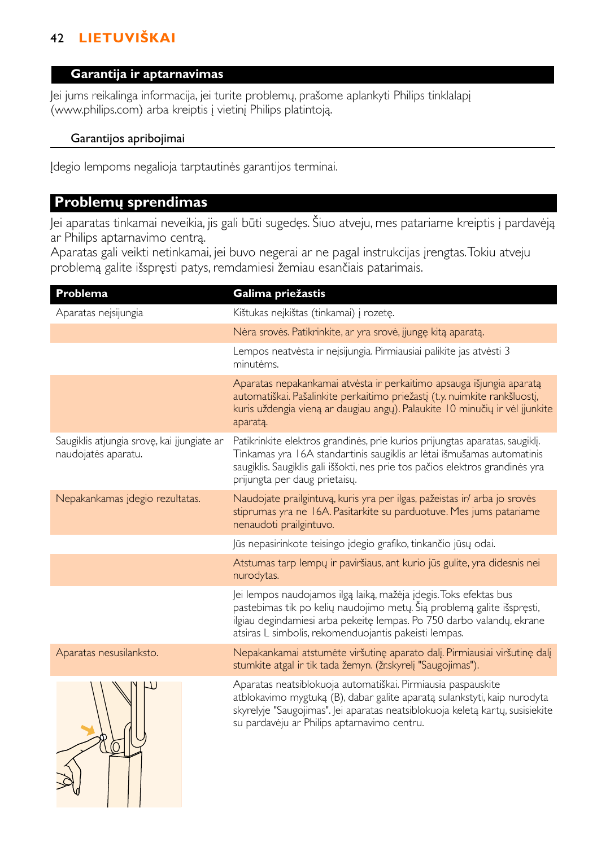### **Garantija ir aptarnavimas**

Jei jums reikalinga informacija, jei turite problemų, prašome aplankyti Philips tinklalapį (www.philips.com) arba kreiptis į vietinį Philips platintoją.

## Garantijos apribojimai

Įdegio lempoms negalioja tarptautinės garantijos terminai.

# **Problemų sprendimas**

Jei aparatas tinkamai neveikia, jis gali būti sugedęs. Šiuo atveju, mes patariame kreiptis į pardavėją ar Philips aptarnavimo centrą.

Aparatas gali veikti netinkamai, jei buvo negerai ar ne pagal instrukcijas įrengtas.Tokiu atveju problemą galite išspręsti patys, remdamiesi žemiau esančiais patarimais.

| Problema                                                          | Galima priežastis                                                                                                                                                                                                                                                             |
|-------------------------------------------------------------------|-------------------------------------------------------------------------------------------------------------------------------------------------------------------------------------------------------------------------------------------------------------------------------|
| Aparatas neįsijungia                                              | Kištukas neikištas (tinkamai) į rozete.                                                                                                                                                                                                                                       |
|                                                                   | Nėra srovės. Patikrinkite, ar yra srovė, jiungę kitą aparatą.                                                                                                                                                                                                                 |
|                                                                   | Lempos neatvėsta ir neįsijungia. Pirmiausiai palikite jas atvėsti 3<br>minutėms.                                                                                                                                                                                              |
|                                                                   | Aparatas nepakankamai atvėsta ir perkaitimo apsauga išjungia aparatą<br>automatiškai. Pašalinkite perkaitimo priežastį (t.y. nuimkite rankšluostį,<br>kuris uždengia vieną ar daugiau angų). Palaukite 10 minučių ir vėl jjunkite<br>aparatą.                                 |
| Saugiklis atjungia srovę, kai jjungiate ar<br>naudojatės aparatu. | Patikrinkite elektros grandinės, prie kurios prijungtas aparatas, saugiklį.<br>Tinkamas yra 16A standartinis saugiklis ar lėtai išmušamas automatinis<br>saugiklis. Saugiklis gali iššokti, nes prie tos pačios elektros grandinės yra<br>prijungta per daug prietaisy.       |
| Nepakankamas įdegio rezultatas.                                   | Naudojate prailgintuvą, kuris yra per ilgas, pažeistas ir/ arba jo srovės<br>stiprumas yra ne 16A. Pasitarkite su parduotuve. Mes jums patariame<br>nenaudoti prailgintuvo.                                                                                                   |
|                                                                   | lūs nepasirinkote teisingo įdegio grafiko, tinkančio jūsų odai.                                                                                                                                                                                                               |
|                                                                   | Atstumas tarp lempų ir paviršiaus, ant kurio jūs gulite, yra didesnis nei<br>nurodytas.                                                                                                                                                                                       |
|                                                                   | Jei lempos naudojamos ilgą laiką, mažėja įdegis. Toks efektas bus<br>pastebimas tik po kelių naudojimo metų. Šią problemą galite išspręsti,<br>ilgiau degindamiesi arba pekeitę lempas. Po 750 darbo valandų, ekrane<br>atsiras L simbolis, rekomenduojantis pakeisti lempas. |
| Aparatas nesusilanksto.                                           | Nepakankamai atstumėte viršutinę aparato dalį. Pirmiausiai viršutinę dalį<br>stumkite atgal ir tik tada žemyn. (žr.skyrelj "Saugojimas").                                                                                                                                     |
|                                                                   | Aparatas neatsiblokuoja automatiškai. Pirmiausia paspauskite<br>atblokavimo mygtuką (B), dabar galite aparatą sulankstyti, kaip nurodyta<br>skyrelyje "Saugojimas". Jei aparatas neatsiblokuoja keletą kartų, susisiekite<br>su pardavėju ar Philips aptarnavimo centru.      |